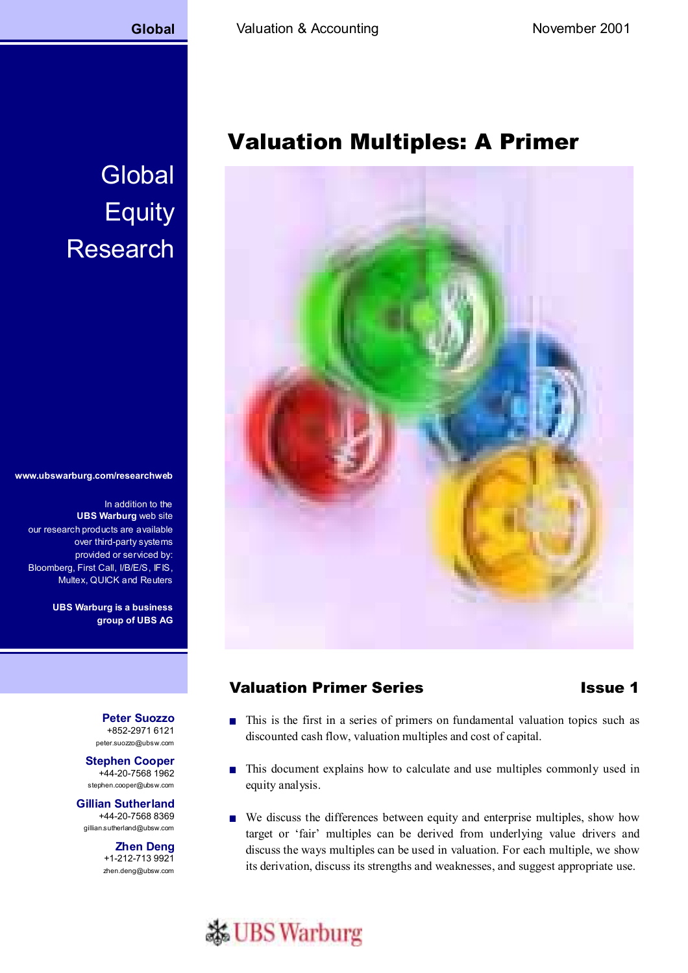# **Global**

# **Global Equity** Research

#### **www.ubswarburg.com/researchweb**

In addition to the **UBS Warburg** web site our research products are available over third-party systems provided or serviced by: Bloomberg, First Call, I/B/E/S, IFIS, Multex, QUICK and Reuters

> **UBS Warburg is a business group of UBS AG**

> > **Peter Suozzo** +852-2971 6121 peter.suozzo@ubsw.com

**Stephen Cooper** +44-20-7568 1962 stephen.cooper@ubsw.com

**Gillian Sutherland** +44-20-7568 8369 gillian.sutherland@ubsw.com

> **Zhen Deng** +1-212-713 9921 zhen.deng@ubsw.com

# Valuation Multiples: A Primer



# Valuation Primer Series **Issue 1**

- This is the first in a series of primers on fundamental valuation topics such as discounted cash flow, valuation multiples and cost of capital.
- This document explains how to calculate and use multiples commonly used in equity analysis.
- We discuss the differences between equity and enterprise multiples, show how target or 'fair' multiples can be derived from underlying value drivers and discuss the ways multiples can be used in valuation. For each multiple, we show its derivation, discuss its strengths and weaknesses, and suggest appropriate use.

# **& UBS Warburg**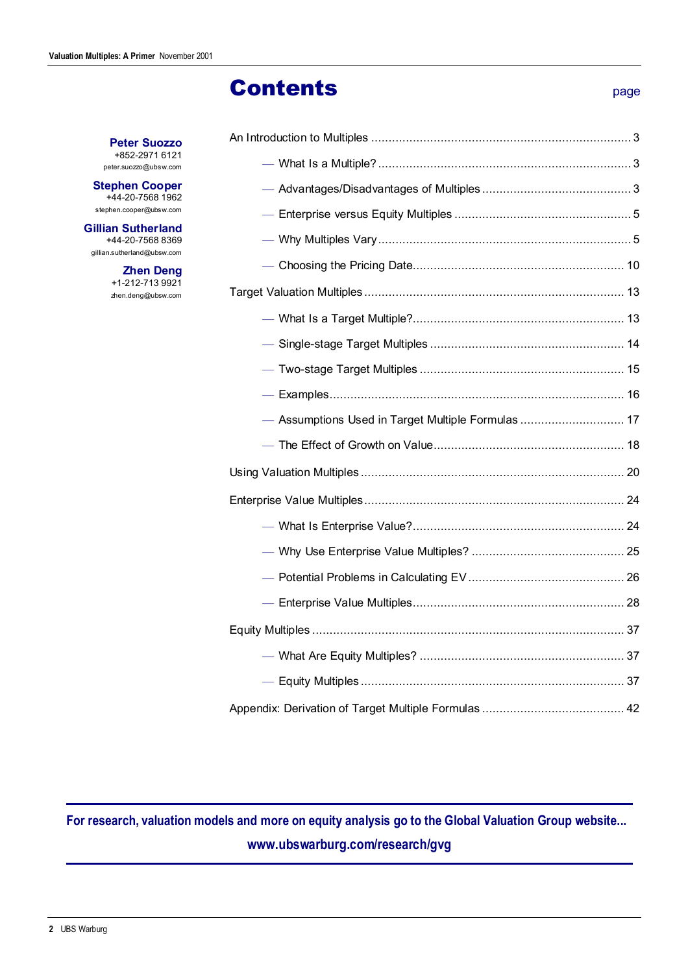# Contents and the contents of the contents of the contents of the content of the content of the content of the content of the content of the content of the content of the content of the content of the content of the content

| <b>Peter Suozzo</b>                                                          |                                                    |  |
|------------------------------------------------------------------------------|----------------------------------------------------|--|
| +852-2971 6121<br>peter.suozzo@ubsw.com                                      |                                                    |  |
| <b>Stephen Cooper</b><br>+44-20-7568 1962                                    |                                                    |  |
| stephen.cooper@ubsw.com                                                      |                                                    |  |
| <b>Gillian Sutherland</b><br>+44-20-7568 8369<br>gillian.sutherland@ubsw.com |                                                    |  |
| <b>Zhen Deng</b>                                                             |                                                    |  |
| +1-212-713 9921<br>zhen.deng@ubsw.com                                        |                                                    |  |
|                                                                              |                                                    |  |
|                                                                              |                                                    |  |
|                                                                              |                                                    |  |
|                                                                              |                                                    |  |
|                                                                              | - Assumptions Used in Target Multiple Formulas  17 |  |
|                                                                              |                                                    |  |
|                                                                              |                                                    |  |
|                                                                              |                                                    |  |
|                                                                              |                                                    |  |
|                                                                              |                                                    |  |
|                                                                              |                                                    |  |
|                                                                              |                                                    |  |
|                                                                              |                                                    |  |
|                                                                              |                                                    |  |
|                                                                              |                                                    |  |
|                                                                              |                                                    |  |

# **For research, valuation models and more on equity analysis go to the Global Valuation Group website... www.ubswarburg.com/research/gvg**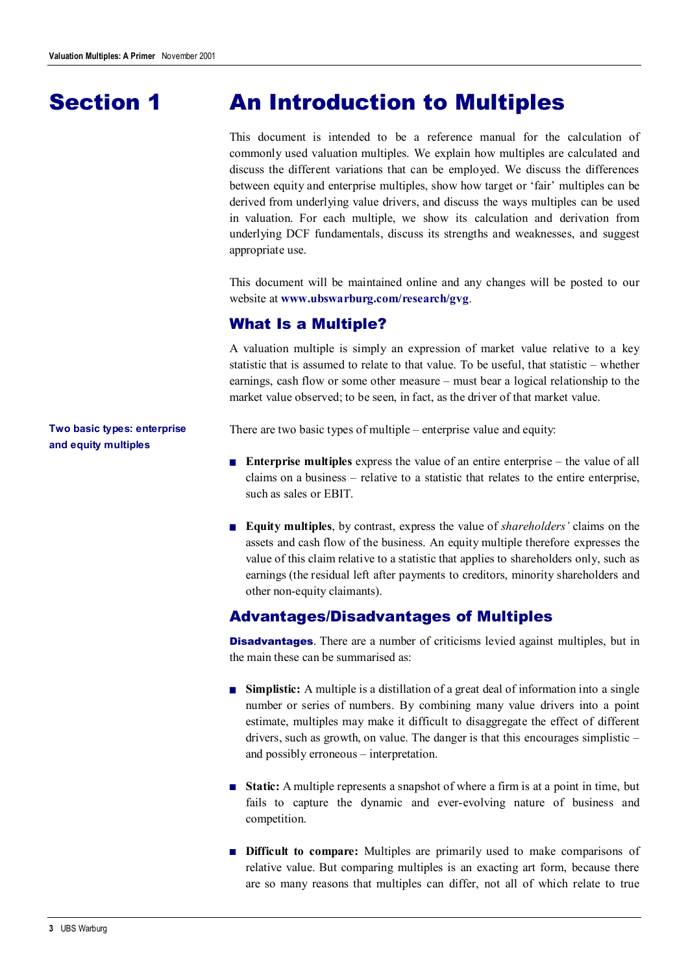# Section 1

# An Introduction to Multiples

This document is intended to be a reference manual for the calculation of commonly used valuation multiples. We explain how multiples are calculated and discuss the different variations that can be employed. We discuss the differences between equity and enterprise multiples, show how target or 'fair' multiples can be derived from underlying value drivers, and discuss the ways multiples can be used in valuation. For each multiple, we show its calculation and derivation from underlying DCF fundamentals, discuss its strengths and weaknesses, and suggest appropriate use.

This document will be maintained online and any changes will be posted to our website at **www.ubswarburg.com/research/gvg**.

# What Is a Multiple?

A valuation multiple is simply an expression of market value relative to a key statistic that is assumed to relate to that value. To be useful, that statistic – whether earnings, cash flow or some other measure – must bear a logical relationship to the market value observed; to be seen, in fact, as the driver of that market value.

There are two basic types of multiple – enterprise value and equity:

- **Enterprise multiples** express the value of an entire enterprise the value of all claims on a business – relative to a statistic that relates to the entire enterprise, such as sales or EBIT.
- **Equity multiples**, by contrast, express the value of *shareholders'* claims on the assets and cash flow of the business. An equity multiple therefore expresses the value of this claim relative to a statistic that applies to shareholders only, such as earnings (the residual left after payments to creditors, minority shareholders and other non-equity claimants).

# Advantages/Disadvantages of Multiples

**Disadvantages**. There are a number of criticisms levied against multiples, but in the main these can be summarised as:

- **Simplistic:** A multiple is a distillation of a great deal of information into a single number or series of numbers. By combining many value drivers into a point estimate, multiples may make it difficult to disaggregate the effect of different drivers, such as growth, on value. The danger is that this encourages simplistic – and possibly erroneous – interpretation.
- **Static:** A multiple represents a snapshot of where a firm is at a point in time, but fails to capture the dynamic and ever-evolving nature of business and competition.
- **Difficult to compare:** Multiples are primarily used to make comparisons of relative value. But comparing multiples is an exacting art form, because there are so many reasons that multiples can differ, not all of which relate to true

**Two basic types: enterprise and equity multiples**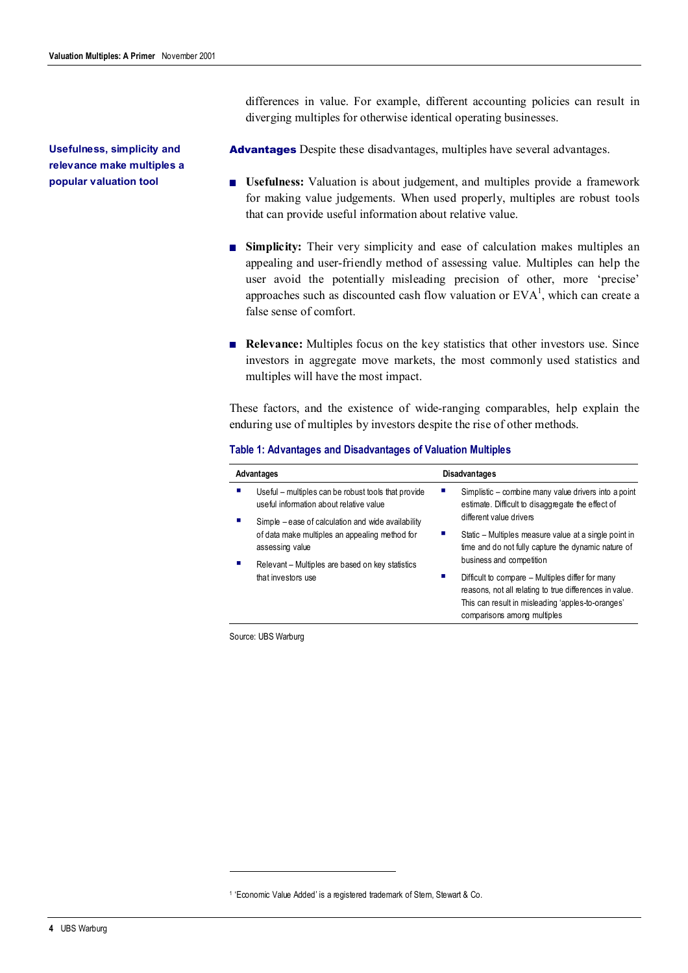**Usefulness, simplicity and relevance make multiples a popular valuation tool**

differences in value. For example, different accounting policies can result in diverging multiples for otherwise identical operating businesses.

**Advantages** Despite these disadvantages, multiples have several advantages.

- **Usefulness:** Valuation is about judgement, and multiples provide a framework for making value judgements. When used properly, multiples are robust tools that can provide useful information about relative value.
- **Examplicity:** Their very simplicity and ease of calculation makes multiples an appealing and user-friendly method of assessing value. Multiples can help the user avoid the potentially misleading precision of other, more 'precise' approaches such as discounted cash flow valuation or  $EVA<sup>1</sup>$ , which can create a false sense of comfort.
- **Relevance:** Multiples focus on the key statistics that other investors use. Since investors in aggregate move markets, the most commonly used statistics and multiples will have the most impact.

These factors, and the existence of wide-ranging comparables, help explain the enduring use of multiples by investors despite the rise of other methods.

| Advantages                                                                                                              | <b>Disadvantages</b>                                                                                                                                                                            |  |
|-------------------------------------------------------------------------------------------------------------------------|-------------------------------------------------------------------------------------------------------------------------------------------------------------------------------------------------|--|
| Useful – multiples can be robust tools that provide<br>useful information about relative value                          | Simplistic – combine many value drivers into a point<br>estimate. Difficult to disaggregate the effect of<br>different value drivers                                                            |  |
| Simple – ease of calculation and wide availability<br>of data make multiples an appealing method for<br>assessing value | Static – Multiples measure value at a single point in<br>time and do not fully capture the dynamic nature of<br>business and competition                                                        |  |
| Relevant - Multiples are based on key statistics<br>that investors use                                                  | Difficult to compare – Multiples differ for many<br>reasons, not all relating to true differences in value.<br>This can result in misleading 'apples-to-oranges'<br>comparisons among multiples |  |

#### **Table 1: Advantages and Disadvantages of Valuation Multiples**

Source: UBS Warburg

 $\overline{a}$ 

1 'Economic Value Added' is a registered trademark of Stern, Stewart & Co.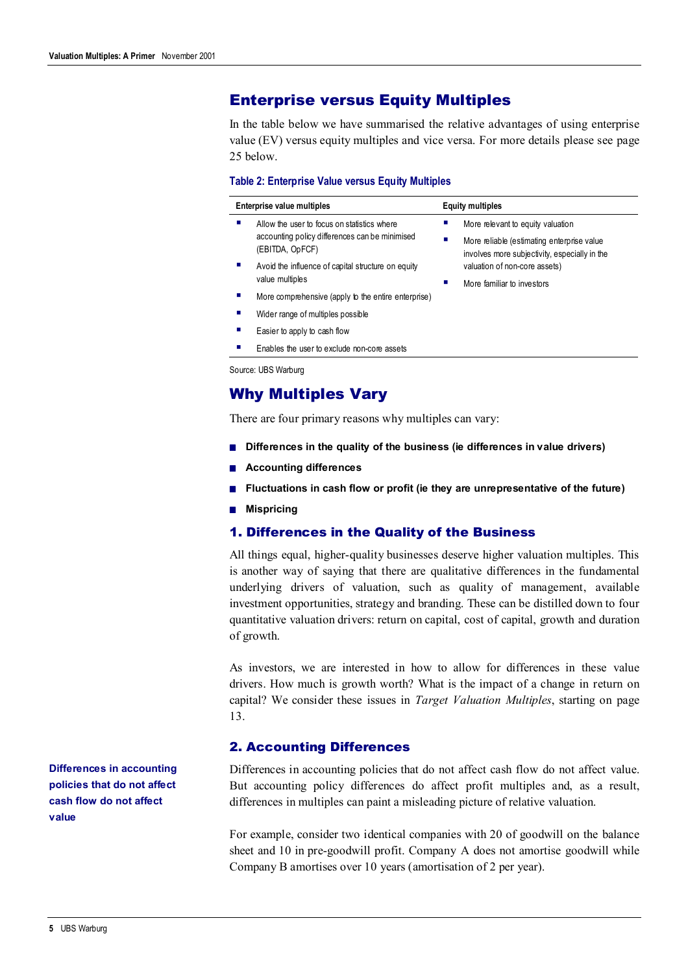# Enterprise versus Equity Multiples

In the table below we have summarised the relative advantages of using enterprise value (EV) versus equity multiples and vice versa. For more details please see page 25 below.

#### **Table 2: Enterprise Value versus Equity Multiples**

|   | Enterprise value multiples                                                                                       | <b>Equity multiples</b>                                                                                                               |  |
|---|------------------------------------------------------------------------------------------------------------------|---------------------------------------------------------------------------------------------------------------------------------------|--|
| п | Allow the user to focus on statistics where<br>accounting policy differences can be minimised<br>(EBITDA, OpFCF) | More relevant to equity valuation<br>More reliable (estimating enterprise value<br>ш<br>involves more subjectivity, especially in the |  |
|   | Avoid the influence of capital structure on equity<br>value multiples                                            | valuation of non-core assets)<br>More familiar to investors                                                                           |  |
| ш | More comprehensive (apply to the entire enterprise)                                                              |                                                                                                                                       |  |
| ш | Wider range of multiples possible                                                                                |                                                                                                                                       |  |
| ш | Easier to apply to cash flow                                                                                     |                                                                                                                                       |  |
| ш | Enables the user to exclude non-core assets                                                                      |                                                                                                                                       |  |

Source: UBS Warburg

# Why Multiples Vary

There are four primary reasons why multiples can vary:

- **Differences in the quality of the business (ie differences in value drivers)**
- **Accounting differences**
- **Fluctuations in cash flow or profit (ie they are unrepresentative of the future)**
- **Mispricing**

## 1. Differences in the Quality of the Business

All things equal, higher-quality businesses deserve higher valuation multiples. This is another way of saying that there are qualitative differences in the fundamental underlying drivers of valuation, such as quality of management, available investment opportunities, strategy and branding. These can be distilled down to four quantitative valuation drivers: return on capital, cost of capital, growth and duration of growth.

As investors, we are interested in how to allow for differences in these value drivers. How much is growth worth? What is the impact of a change in return on capital? We consider these issues in *Target Valuation Multiples*, starting on page 13.

## 2. Accounting Differences

Differences in accounting policies that do not affect cash flow do not affect value. But accounting policy differences do affect profit multiples and, as a result, differences in multiples can paint a misleading picture of relative valuation.

For example, consider two identical companies with 20 of goodwill on the balance sheet and 10 in pre-goodwill profit. Company A does not amortise goodwill while Company B amortises over 10 years (amortisation of 2 per year).

**Differences in accounting policies that do not affect cash flow do not affect value**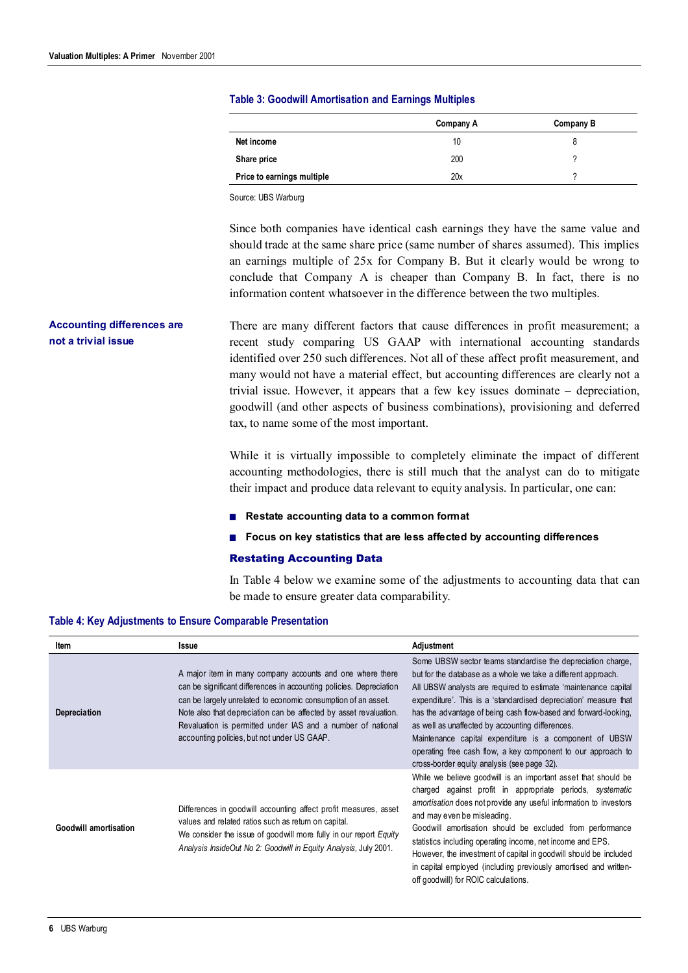|                            | Company A | Company B |
|----------------------------|-----------|-----------|
| Net income                 | 10        |           |
| Share price                | 200       |           |
| Price to earnings multiple | 20x       |           |

#### **Table 3: Goodwill Amortisation and Earnings Multiples**

Source: UBS Warburg

Since both companies have identical cash earnings they have the same value and should trade at the same share price (same number of shares assumed). This implies an earnings multiple of 25x for Company B. But it clearly would be wrong to conclude that Company A is cheaper than Company B. In fact, there is no information content whatsoever in the difference between the two multiples.

There are many different factors that cause differences in profit measurement; a recent study comparing US GAAP with international accounting standards identified over 250 such differences. Not all of these affect profit measurement, and many would not have a material effect, but accounting differences are clearly not a trivial issue. However, it appears that a few key issues dominate – depreciation, goodwill (and other aspects of business combinations), provisioning and deferred tax, to name some of the most important. **Accounting differences are not a trivial issue**

> While it is virtually impossible to completely eliminate the impact of different accounting methodologies, there is still much that the analyst can do to mitigate their impact and produce data relevant to equity analysis. In particular, one can:

- **Restate accounting data to a common format**
- **Focus on key statistics that are less affected by accounting differences**

#### Restating Accounting Data

In Table 4 below we examine some of the adjustments to accounting data that can be made to ensure greater data comparability.

#### **Table 4: Key Adjustments to Ensure Comparable Presentation**

| Item                  | Issue                                                                                                                                                                                                                                                                                                                                                                                | Adjustment                                                                                                                                                                                                                                                                                                                                                                                                                                                                                                                                                          |
|-----------------------|--------------------------------------------------------------------------------------------------------------------------------------------------------------------------------------------------------------------------------------------------------------------------------------------------------------------------------------------------------------------------------------|---------------------------------------------------------------------------------------------------------------------------------------------------------------------------------------------------------------------------------------------------------------------------------------------------------------------------------------------------------------------------------------------------------------------------------------------------------------------------------------------------------------------------------------------------------------------|
| Depreciation          | A major item in many company accounts and one where there<br>can be significant differences in accounting policies. Depreciation<br>can be largely unrelated to economic consumption of an asset.<br>Note also that depreciation can be affected by asset revaluation.<br>Revaluation is permitted under IAS and a number of national<br>accounting policies, but not under US GAAP. | Some UBSW sector teams standardise the depreciation charge,<br>but for the database as a whole we take a different approach.<br>All UBSW analysts are required to estimate 'maintenance capital<br>expenditure'. This is a 'standardised depreciation' measure that<br>has the advantage of being cash flow-based and forward-looking,<br>as well as unaffected by accounting differences.<br>Maintenance capital expenditure is a component of UBSW<br>operating free cash flow, a key component to our approach to<br>cross-border equity analysis (see page 32). |
| Goodwill amortisation | Differences in goodwill accounting affect profit measures, asset<br>values and related ratios such as return on capital.<br>We consider the issue of goodwill more fully in our report Equity<br>Analysis InsideOut No 2: Goodwill in Equity Analysis, July 2001.                                                                                                                    | While we believe goodwill is an important asset that should be<br>charged against profit in appropriate periods, systematic<br>amortisation does not provide any useful information to investors<br>and may even be misleading.<br>Goodwill amortisation should be excluded from performance<br>statistics including operating income, net income and EPS.<br>However, the investment of capital in good will should be included<br>in capital employed (including previously amortised and written-<br>off goodwill) for ROIC calculations.                        |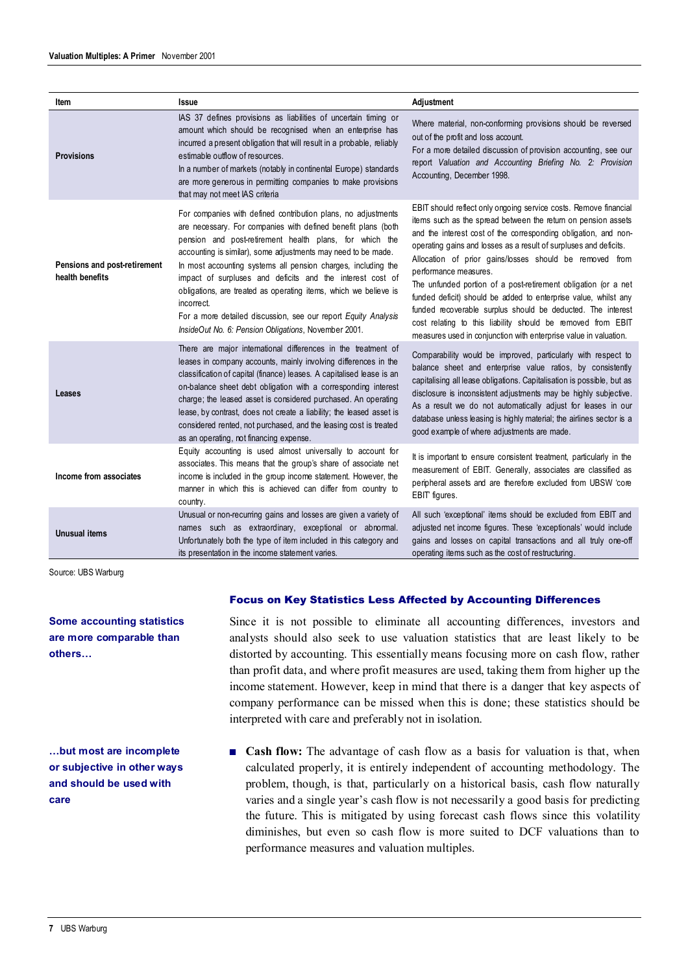| Item                                            | <b>Issue</b>                                                                                                                                                                                                                                                                                                                                                                                                                                                                                                                                                                                         | Adjustment                                                                                                                                                                                                                                                                                                                                                                                                                                                                                                                                                                                                                                                                                           |
|-------------------------------------------------|------------------------------------------------------------------------------------------------------------------------------------------------------------------------------------------------------------------------------------------------------------------------------------------------------------------------------------------------------------------------------------------------------------------------------------------------------------------------------------------------------------------------------------------------------------------------------------------------------|------------------------------------------------------------------------------------------------------------------------------------------------------------------------------------------------------------------------------------------------------------------------------------------------------------------------------------------------------------------------------------------------------------------------------------------------------------------------------------------------------------------------------------------------------------------------------------------------------------------------------------------------------------------------------------------------------|
| <b>Provisions</b>                               | IAS 37 defines provisions as liabilities of uncertain timing or<br>amount which should be recognised when an enterprise has<br>incurred a present obligation that will result in a probable, reliably<br>estimable outflow of resources.<br>In a number of markets (notably in continental Europe) standards<br>are more generous in permitting companies to make provisions<br>that may not meet IAS criteria                                                                                                                                                                                       | Where material, non-conforming provisions should be reversed<br>out of the profit and loss account.<br>For a more detailed discussion of provision accounting, see our<br>report Valuation and Accounting Briefing No. 2: Provision<br>Accounting, December 1998.                                                                                                                                                                                                                                                                                                                                                                                                                                    |
| Pensions and post-retirement<br>health benefits | For companies with defined contribution plans, no adjustments<br>are necessary. For companies with defined benefit plans (both<br>pension and post-retirement health plans, for which the<br>accounting is similar), some adjustments may need to be made.<br>In most accounting systems all pension charges, including the<br>impact of surpluses and deficits and the interest cost of<br>obligations, are treated as operating items, which we believe is<br>incorrect.<br>For a more detailed discussion, see our report Equity Analysis<br>InsideOut No. 6: Pension Obligations, November 2001. | EBIT should reflect only ongoing service costs. Remove financial<br>items such as the spread between the return on pension assets<br>and the interest cost of the corresponding obligation, and non-<br>operating gains and losses as a result of surpluses and deficits.<br>Allocation of prior gains/losses should be removed from<br>performance measures.<br>The unfunded portion of a post-retirement obligation (or a net<br>funded deficit) should be added to enterprise value, whilst any<br>funded recoverable surplus should be deducted. The interest<br>cost relating to this liability should be removed from EBIT<br>measures used in conjunction with enterprise value in valuation. |
| Leases                                          | There are major international differences in the treatment of<br>leases in company accounts, mainly involving differences in the<br>classification of capital (finance) leases. A capitalised lease is an<br>on-balance sheet debt obligation with a corresponding interest<br>charge; the leased asset is considered purchased. An operating<br>lease, by contrast, does not create a liability; the leased asset is<br>considered rented, not purchased, and the leasing cost is treated<br>as an operating, not financing expense.                                                                | Comparability would be improved, particularly with respect to<br>balance sheet and enterprise value ratios, by consistently<br>capitalising all lease obligations. Capitalisation is possible, but as<br>disclosure is inconsistent adjustments may be highly subjective.<br>As a result we do not automatically adjust for leases in our<br>database unless leasing is highly material; the airlines sector is a<br>good example of where adjustments are made.                                                                                                                                                                                                                                     |
| Income from associates                          | Equity accounting is used almost universally to account for<br>associates. This means that the group's share of associate net<br>income is included in the group income statement. However, the<br>manner in which this is achieved can differ from country to<br>country.                                                                                                                                                                                                                                                                                                                           | It is important to ensure consistent treatment, particularly in the<br>measurement of EBIT. Generally, associates are classified as<br>peripheral assets and are therefore excluded from UBSW 'core<br>EBIT figures.                                                                                                                                                                                                                                                                                                                                                                                                                                                                                 |
| <b>Unusual items</b>                            | Unusual or non-recurring gains and losses are given a variety of<br>names such as extraordinary, exceptional or abnormal.<br>Unfortunately both the type of item included in this category and<br>its presentation in the income statement varies.                                                                                                                                                                                                                                                                                                                                                   | All such 'exceptional' items should be excluded from EBIT and<br>adjusted net income figures. These 'exceptionals' would include<br>gains and losses on capital transactions and all truly one-off<br>operating items such as the cost of restructuring.                                                                                                                                                                                                                                                                                                                                                                                                                                             |

Source: UBS Warburg

# **Some accounting statistics are more comparable than others…**

**…but most are incomplete or subjective in other ways and should be used with care**

# Focus on Key Statistics Less Affected by Accounting Differences

Since it is not possible to eliminate all accounting differences, investors and analysts should also seek to use valuation statistics that are least likely to be distorted by accounting. This essentially means focusing more on cash flow, rather than profit data, and where profit measures are used, taking them from higher up the income statement. However, keep in mind that there is a danger that key aspects of company performance can be missed when this is done; these statistics should be interpreted with care and preferably not in isolation.

■ **Cash flow:** The advantage of cash flow as a basis for valuation is that, when calculated properly, it is entirely independent of accounting methodology. The problem, though, is that, particularly on a historical basis, cash flow naturally varies and a single year's cash flow is not necessarily a good basis for predicting the future. This is mitigated by using forecast cash flows since this volatility diminishes, but even so cash flow is more suited to DCF valuations than to performance measures and valuation multiples.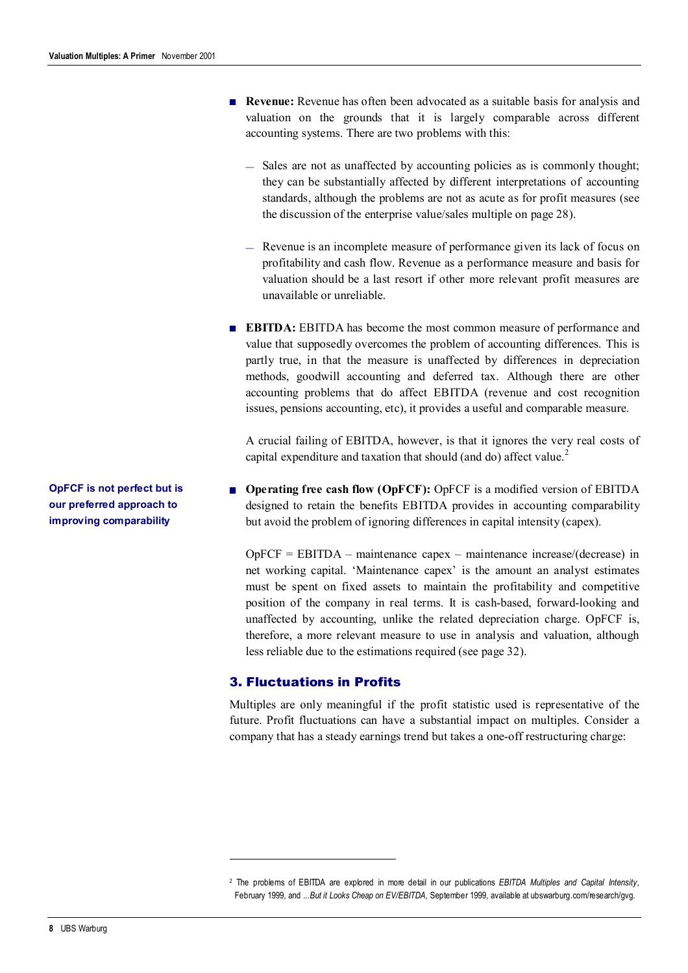- **Revenue:** Revenue has often been advocated as a suitable basis for analysis and valuation on the grounds that it is largely comparable across different accounting systems. There are two problems with this:
	- Sales are not as unaffected by accounting policies as is commonly thought; they can be substantially affected by different interpretations of accounting standards, although the problems are not as acute as for profit measures (see the discussion of the enterprise value/sales multiple on page 28).
	- **—** Revenue is an incomplete measure of performance given its lack of focus on profitability and cash flow. Revenue as a performance measure and basis for valuation should be a last resort if other more relevant profit measures are unavailable or unreliable.
- **EBITDA:** EBITDA has become the most common measure of performance and value that supposedly overcomes the problem of accounting differences. This is partly true, in that the measure is unaffected by differences in depreciation methods, goodwill accounting and deferred tax. Although there are other accounting problems that do affect EBITDA (revenue and cost recognition issues, pensions accounting, etc), it provides a useful and comparable measure.

A crucial failing of EBITDA, however, is that it ignores the very real costs of capital expenditure and taxation that should (and do) affect value.<sup>2</sup>

■ **Operating free cash flow (OpFCF):** OpFCF is a modified version of EBITDA designed to retain the benefits EBITDA provides in accounting comparability but avoid the problem of ignoring differences in capital intensity (capex).

 $OpFCF = EBITDA - maintenance capex - maintenance increase/(decrease)$  in net working capital. 'Maintenance capex' is the amount an analyst estimates must be spent on fixed assets to maintain the profitability and competitive position of the company in real terms. It is cash-based, forward-looking and unaffected by accounting, unlike the related depreciation charge. OpFCF is, therefore, a more relevant measure to use in analysis and valuation, although less reliable due to the estimations required (see page 32).

# 3. Fluctuations in Profits

 $\overline{a}$ 

Multiples are only meaningful if the profit statistic used is representative of the future. Profit fluctuations can have a substantial impact on multiples. Consider a company that has a steady earnings trend but takes a one-off restructuring charge:

**OpFCF is not perfect but is our preferred approach to improving comparability**

<sup>2</sup> The problems of EBITDA are explored in more detail in our publications *EBITDA Multiples and Capital Intensity*, February 1999, and *...But it Looks Cheap on EV/EBITDA*, September 1999, available at ubswarburg.com/research/gvg.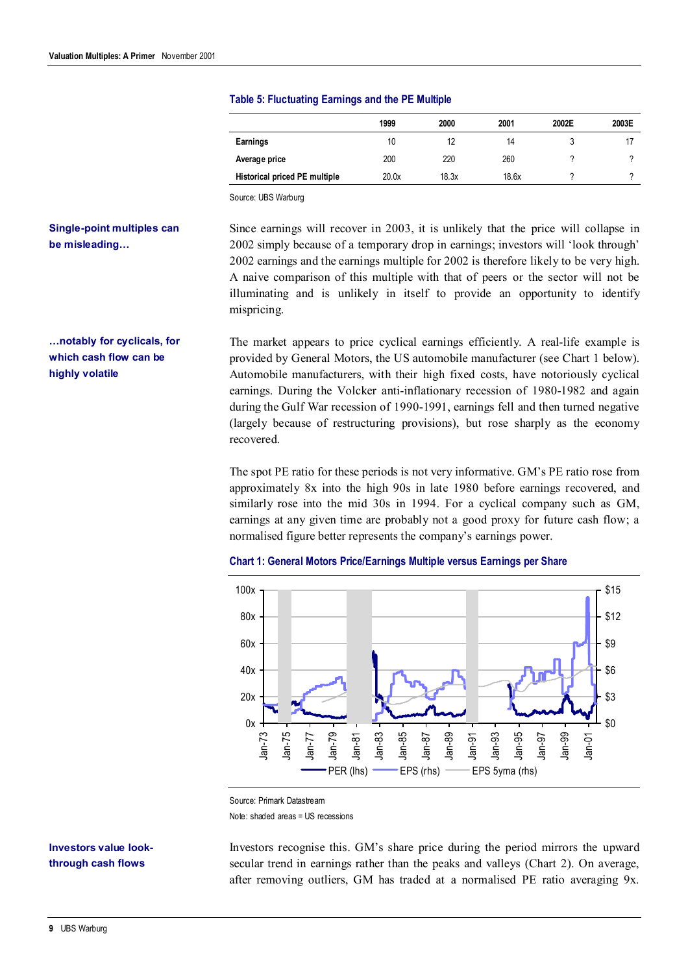**…notably for cyclicals, for which cash flow can be**

**highly volatile**

|                               | 1999  | 2000  | 2001  | 2002E | 2003E |
|-------------------------------|-------|-------|-------|-------|-------|
| Earnings                      | 10    | 12    | 14    |       |       |
| Average price                 | 200   | 220   | 260   |       |       |
| Historical priced PE multiple | 20.0x | 18.3x | 18.6x |       |       |

# **Table 5: Fluctuating Earnings and the PE Multiple**

Source: UBS Warburg

Since earnings will recover in 2003, it is unlikely that the price will collapse in 2002 simply because of a temporary drop in earnings; investors will 'look through' 2002 earnings and the earnings multiple for 2002 is therefore likely to be very high. A naive comparison of this multiple with that of peers or the sector will not be illuminating and is unlikely in itself to provide an opportunity to identify mispricing. **Single-point multiples can be misleading…**

> The market appears to price cyclical earnings efficiently. A real-life example is provided by General Motors, the US automobile manufacturer (see Chart 1 below). Automobile manufacturers, with their high fixed costs, have notoriously cyclical earnings. During the Volcker anti-inflationary recession of 1980-1982 and again during the Gulf War recession of 1990-1991, earnings fell and then turned negative (largely because of restructuring provisions), but rose sharply as the economy recovered.

> The spot PE ratio for these periods is not very informative. GM's PE ratio rose from approximately 8x into the high 90s in late 1980 before earnings recovered, and similarly rose into the mid 30s in 1994. For a cyclical company such as GM, earnings at any given time are probably not a good proxy for future cash flow; a normalised figure better represents the company's earnings power.



**Chart 1: General Motors Price/Earnings Multiple versus Earnings per Share**

Source: Primark Datastream Note: shaded areas = US recessions

**Investors value lookthrough cash flows**

Investors recognise this. GM's share price during the period mirrors the upward secular trend in earnings rather than the peaks and valleys (Chart 2). On average, after removing outliers, GM has traded at a normalised PE ratio averaging 9x.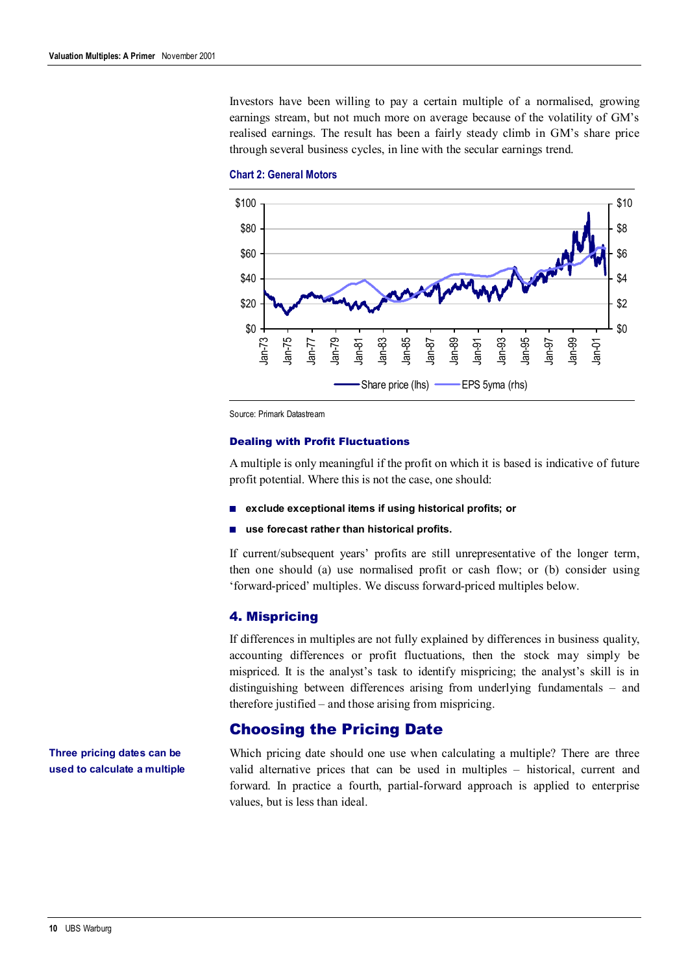Investors have been willing to pay a certain multiple of a normalised, growing earnings stream, but not much more on average because of the volatility of GM's realised earnings. The result has been a fairly steady climb in GM's share price through several business cycles, in line with the secular earnings trend.





Source: Primark Datastream

#### Dealing with Profit Fluctuations

A multiple is only meaningful if the profit on which it is based is indicative of future profit potential. Where this is not the case, one should:

- exclude exceptional items if using historical profits; or
- **use forecast rather than historical profits.**

If current/subsequent years' profits are still unrepresentative of the longer term, then one should (a) use normalised profit or cash flow; or (b) consider using 'forward-priced' multiples. We discuss forward-priced multiples below.

# 4. Mispricing

If differences in multiples are not fully explained by differences in business quality, accounting differences or profit fluctuations, then the stock may simply be mispriced. It is the analyst's task to identify mispricing; the analyst's skill is in distinguishing between differences arising from underlying fundamentals – and therefore justified – and those arising from mispricing.

# Choosing the Pricing Date

Which pricing date should one use when calculating a multiple? There are three valid alternative prices that can be used in multiples – historical, current and forward. In practice a fourth, partial-forward approach is applied to enterprise values, but is less than ideal.

**Three pricing dates can be used to calculate a multiple**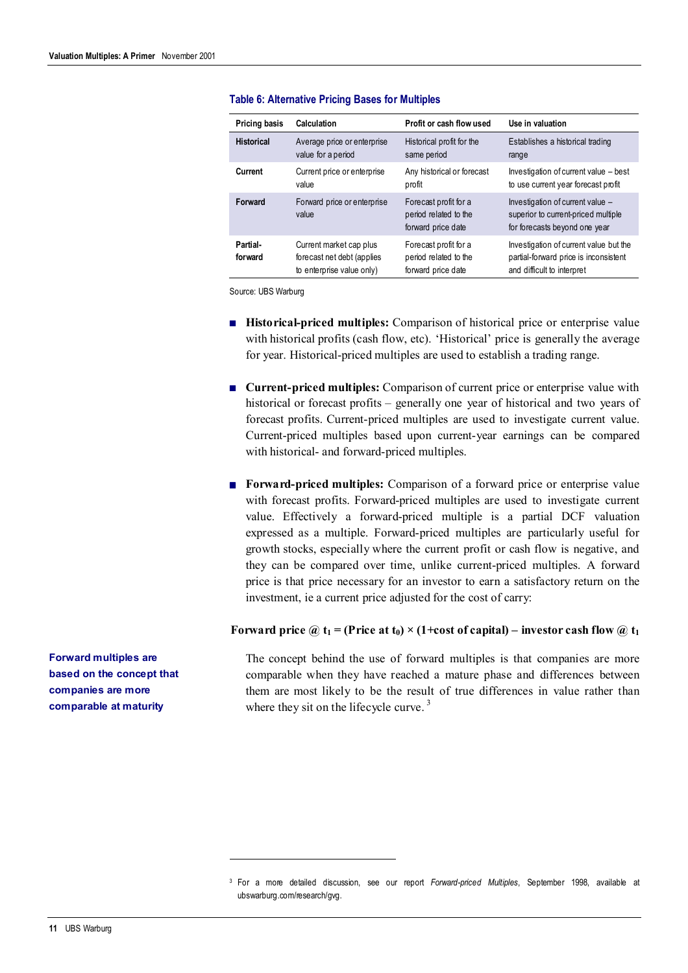| <b>Pricing basis</b> | Calculation                                                                        | Profit or cash flow used                                             | Use in valuation                                                                                              |
|----------------------|------------------------------------------------------------------------------------|----------------------------------------------------------------------|---------------------------------------------------------------------------------------------------------------|
| <b>Historical</b>    | Average price or enterprise<br>value for a period                                  | Historical profit for the<br>same period                             | Establishes a historical trading<br>range                                                                     |
| Current              | Current price or enterprise<br>value                                               | Any historical or forecast<br>profit                                 | Investigation of current value - best<br>to use current year forecast profit                                  |
| Forward              | Forward price or enterprise<br>value                                               | Forecast profit for a<br>period related to the<br>forward price date | Investigation of current value -<br>superior to current-priced multiple<br>for forecasts beyond one year      |
| Partial-<br>forward  | Current market cap plus<br>forecast net debt (applies<br>to enterprise value only) | Forecast profit for a<br>period related to the<br>forward price date | Investigation of current value but the<br>partial-forward price is inconsistent<br>and difficult to interpret |

#### **Table 6: Alternative Pricing Bases for Multiples**

Source: UBS Warburg

- **Historical-priced multiples:** Comparison of historical price or enterprise value with historical profits (cash flow, etc). 'Historical' price is generally the average for year. Historical-priced multiples are used to establish a trading range.
- **Current-priced multiples:** Comparison of current price or enterprise value with historical or forecast profits – generally one year of historical and two years of forecast profits. Current-priced multiples are used to investigate current value. Current-priced multiples based upon current-year earnings can be compared with historical- and forward-priced multiples.
- **Forward-priced multiples:** Comparison of a forward price or enterprise value with forecast profits. Forward-priced multiples are used to investigate current value. Effectively a forward-priced multiple is a partial DCF valuation expressed as a multiple. Forward-priced multiples are particularly useful for growth stocks, especially where the current profit or cash flow is negative, and they can be compared over time, unlike current-priced multiples. A forward price is that price necessary for an investor to earn a satisfactory return on the investment, ie a current price adjusted for the cost of carry:

### **Forward price @ t<sub>1</sub> = (Price at t<sub>0</sub>) × (1+cost of capital) – investor cash flow @ t<sub>1</sub>**

The concept behind the use of forward multiples is that companies are more comparable when they have reached a mature phase and differences between them are most likely to be the result of true differences in value rather than where they sit on the lifecycle curve.<sup>3</sup>

**Forward multiples are based on the concept that companies are more comparable at maturity**

 $\overline{a}$ 

<sup>3</sup> For a more detailed discussion, see our report *Forward-priced Multiples*, September 1998, available at ubswarburg.com/research/gvg.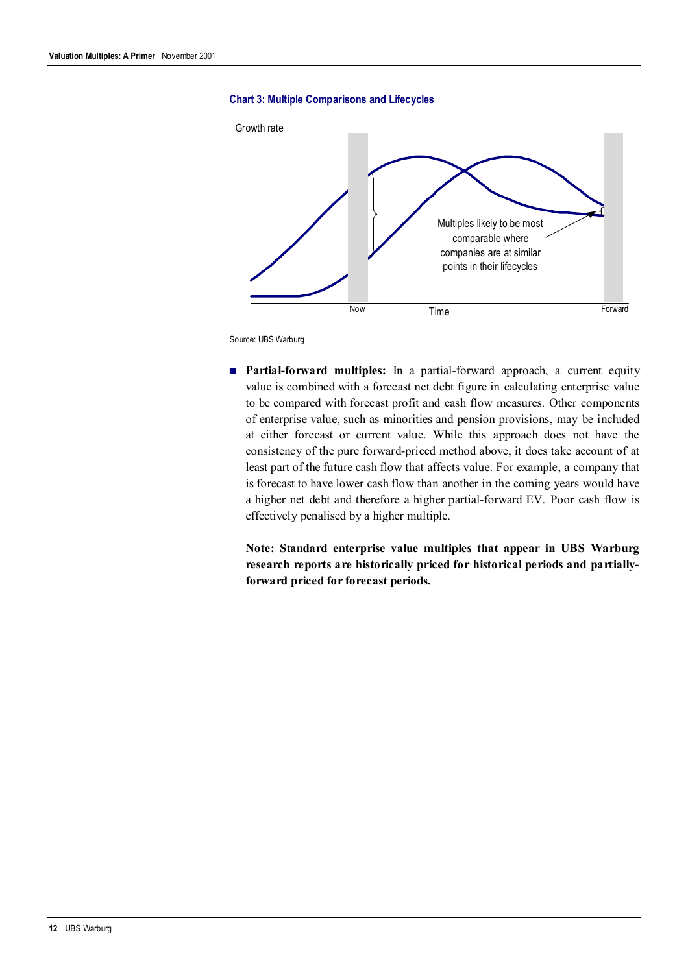



Source: UBS Warburg

■ **Partial-forward multiples:** In a partial-forward approach, a current equity value is combined with a forecast net debt figure in calculating enterprise value to be compared with forecast profit and cash flow measures. Other components of enterprise value, such as minorities and pension provisions, may be included at either forecast or current value. While this approach does not have the consistency of the pure forward-priced method above, it does take account of at least part of the future cash flow that affects value. For example, a company that is forecast to have lower cash flow than another in the coming years would have a higher net debt and therefore a higher partial-forward EV. Poor cash flow is effectively penalised by a higher multiple.

**Note: Standard enterprise value multiples that appear in UBS Warburg research reports are historically priced for historical periods and partiallyforward priced for forecast periods.**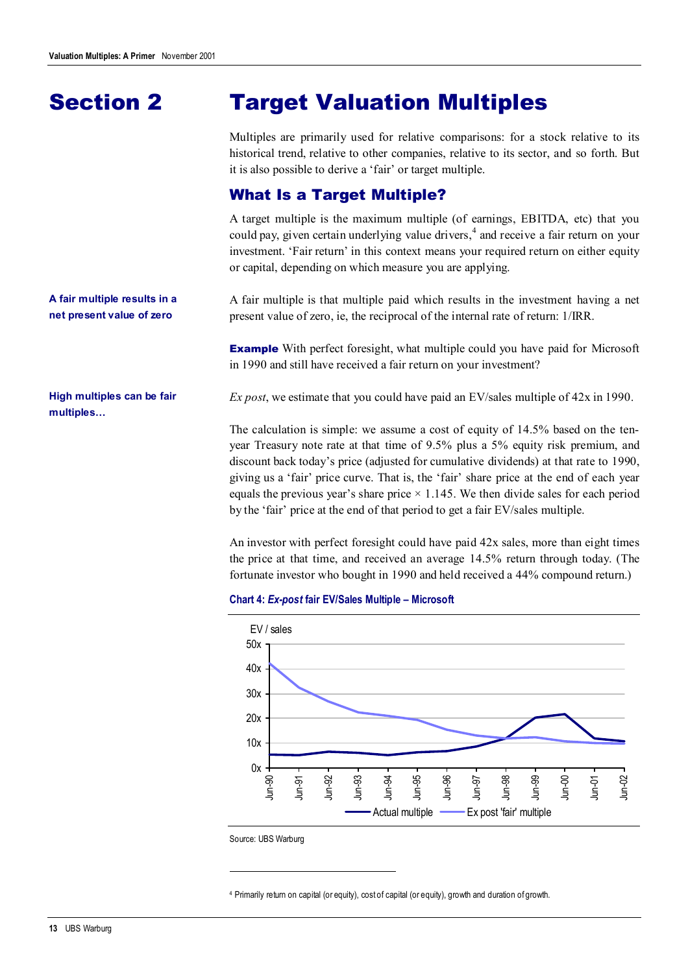# Target Valuation Multiples Section 2

Multiples are primarily used for relative comparisons: for a stock relative to its historical trend, relative to other companies, relative to its sector, and so forth. But it is also possible to derive a 'fair' or target multiple.

# What Is a Target Multiple?

A target multiple is the maximum multiple (of earnings, EBITDA, etc) that you could pay, given certain underlying value drivers,  $4$  and receive a fair return on your investment. 'Fair return' in this context means your required return on either equity or capital, depending on which measure you are applying.

A fair multiple is that multiple paid which results in the investment having a net present value of zero, ie, the reciprocal of the internal rate of return: 1/IRR.

**Example** With perfect foresight, what multiple could you have paid for Microsoft in 1990 and still have received a fair return on your investment?

*Ex post*, we estimate that you could have paid an EV/sales multiple of 42x in 1990.

The calculation is simple: we assume a cost of equity of 14.5% based on the tenyear Treasury note rate at that time of 9.5% plus a 5% equity risk premium, and discount back today's price (adjusted for cumulative dividends) at that rate to 1990, giving us a 'fair' price curve. That is, the 'fair' share price at the end of each year equals the previous year's share price  $\times$  1.145. We then divide sales for each period by the 'fair' price at the end of that period to get a fair EV/sales multiple.

An investor with perfect foresight could have paid 42x sales, more than eight times the price at that time, and received an average 14.5% return through today. (The fortunate investor who bought in 1990 and held received a 44% compound return.)





Source: UBS Warburg

 $\overline{a}$ 

4 Primarily return on capital (or equity), cost of capital (or equity), growth and duration of growth.

**A fair multiple results in a net present value of zero**

**High multiples can be fair multiples…**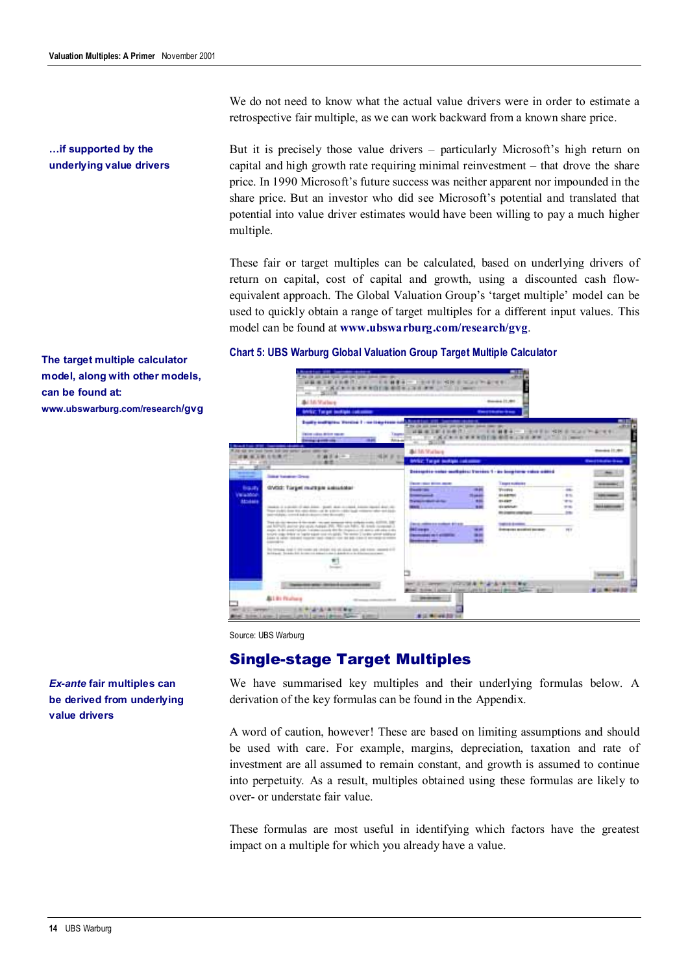**…if supported by the underlying value drivers** We do not need to know what the actual value drivers were in order to estimate a retrospective fair multiple, as we can work backward from a known share price.

But it is precisely those value drivers – particularly Microsoft's high return on capital and high growth rate requiring minimal reinvestment – that drove the share price. In 1990 Microsoft's future success was neither apparent nor impounded in the share price. But an investor who did see Microsoft's potential and translated that potential into value driver estimates would have been willing to pay a much higher multiple.

These fair or target multiples can be calculated, based on underlying drivers of return on capital, cost of capital and growth, using a discounted cash flowequivalent approach. The Global Valuation Group's 'target multiple' model can be used to quickly obtain a range of target multiples for a different input values. This model can be found at **www.ubswarburg.com/research/gvg**.

### **Chart 5: UBS Warburg Global Valuation Group Target Multiple Calculator**



Source: UBS Warburg

# Single-stage Target Multiples

We have summarised key multiples and their underlying formulas below. A derivation of the key formulas can be found in the Appendix.

A word of caution, however! These are based on limiting assumptions and should be used with care. For example, margins, depreciation, taxation and rate of investment are all assumed to remain constant, and growth is assumed to continue into perpetuity. As a result, multiples obtained using these formulas are likely to over- or understate fair value.

These formulas are most useful in identifying which factors have the greatest impact on a multiple for which you already have a value.

**The target multiple calculator model, along with other models, can be found at: www.ubswarburg.com/research/gvg**

*Ex-ante* **fair multiples can be derived from underlying value drivers**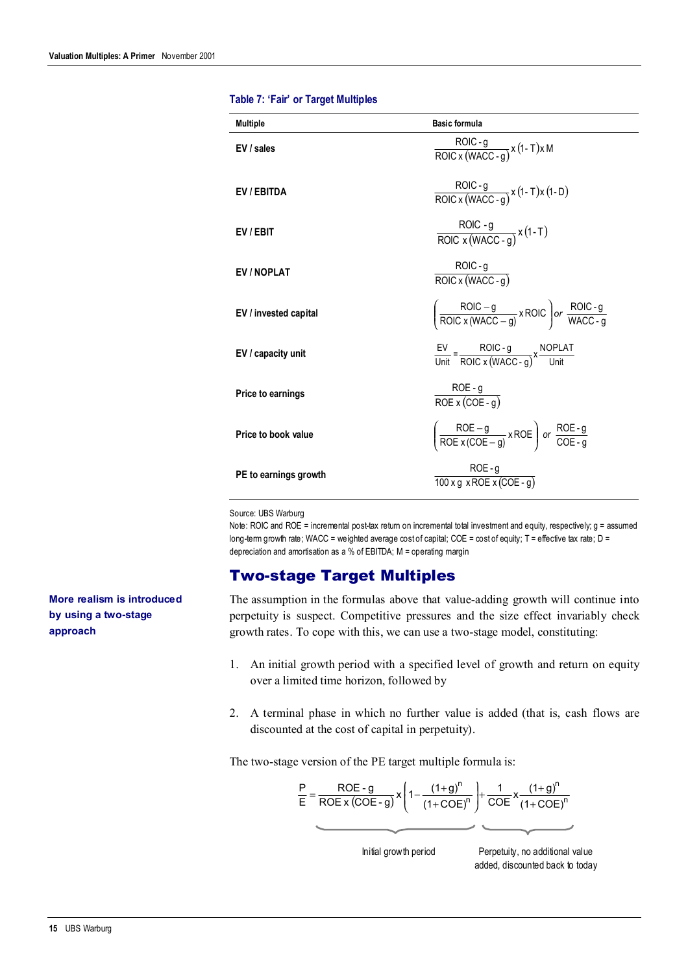| <b>Multiple</b>          | <b>Basic formula</b>                                                                                                          |
|--------------------------|-------------------------------------------------------------------------------------------------------------------------------|
| EV / sales               | $\frac{ROIC \cdot g}{ROIC \times (WACC - g)} \times (1-T) \times M$                                                           |
| EV / EBITDA              | ROIC - g<br>ROIC x (WACC - g) x (1 - T) x (1 - D)                                                                             |
| EV/EBIT                  | $rac{ROIC - g}{ROIC \times (WACC - g)} \times (1-T)$                                                                          |
| <b>EV/NOPLAT</b>         | ROIC-g<br>$\overline{ROICx(WACC-g)}$                                                                                          |
| EV / invested capital    | $\left(\frac{ROIC - g}{ROIC x (WACC - a)}$ x ROIC $or \frac{ROIC - g}{WACC - a}$                                              |
| EV / capacity unit       | $\frac{EV}{Unit} = \frac{ROIC \cdot g}{ROIC \times (WACC - a)} \times \frac{NOPLAT}{Unit}$                                    |
| <b>Price to earnings</b> | $ROE - g$<br>$\overline{\text{ROE} \times (\text{COE} - g)}$                                                                  |
| Price to book value      | $\left(\frac{\text{ROE}-g}{\text{ROE} \times (\text{COE}-g)} \times \text{ROE}\right)$ or $\frac{\text{ROE}-g}{\text{COE}-g}$ |
| PE to earnings growth    | $ROE-g$<br>$\frac{100 \times g \times \text{ROE} \times (\text{COE} - g)}{g}$                                                 |

**Table 7: 'Fair' or Target Multiples**

Source: UBS Warburg

Note: ROIC and ROE = incremental post-tax return on incremental total investment and equity, respectively; g = assumed long-term growth rate; WACC = weighted average cost of capital; COE = cost of equity; T = effective tax rate; D = depreciation and amortisation as a % of EBITDA; M = operating margin

# Two-stage Target Multiples

The assumption in the formulas above that value-adding growth will continue into perpetuity is suspect. Competitive pressures and the size effect invariably check growth rates. To cope with this, we can use a two-stage model, constituting:

- 1. An initial growth period with a specified level of growth and return on equity over a limited time horizon, followed by
- 2. A terminal phase in which no further value is added (that is, cash flows are discounted at the cost of capital in perpetuity).

The two-stage version of the PE target multiple formula is:

$$
\frac{P}{E} = \frac{ROE - g}{ROE \times (COE - g)} \times \left(1 - \frac{(1+g)^n}{(1+COE)^n}\right) + \frac{1}{COE} \times \frac{(1+g)^n}{(1+COE)^n}
$$

Initial growth period Perpetuity, no additional value added, discounted back to today

**More realism is introduced by using a two-stage approach**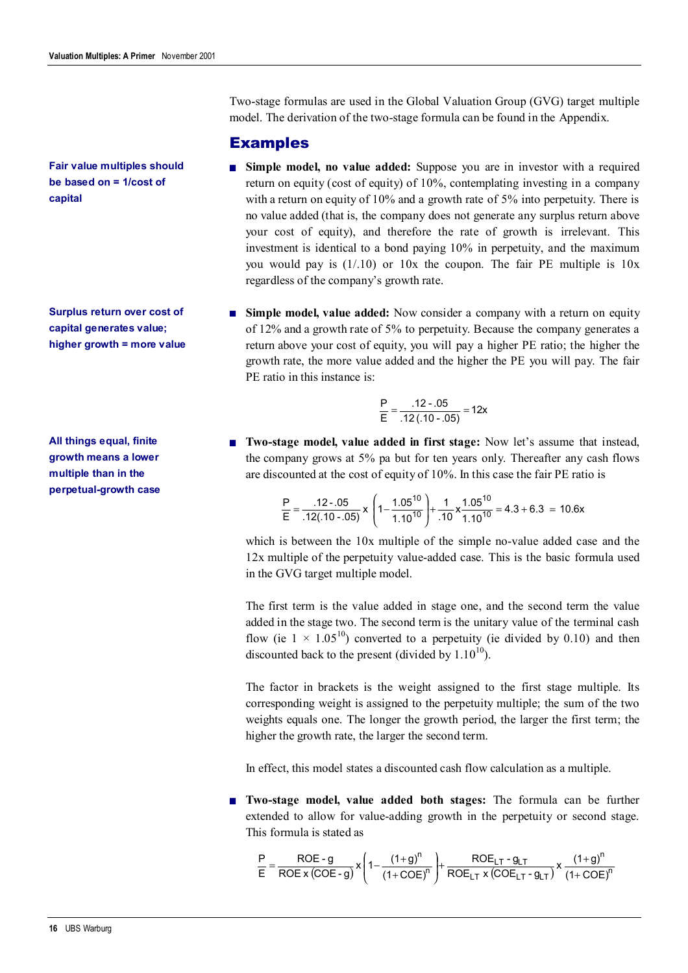**Fair value multiples should be based on = 1/cost of capital**

**Surplus return over cost of capital generates value; higher growth = more value**

**All things equal, finite growth means a lower multiple than in the perpetual-growth case** Two-stage formulas are used in the Global Valuation Group (GVG) target multiple model. The derivation of the two-stage formula can be found in the Appendix.

# Examples

- **Simple model, no value added:** Suppose you are in investor with a required return on equity (cost of equity) of 10%, contemplating investing in a company with a return on equity of 10% and a growth rate of 5% into perpetuity. There is no value added (that is, the company does not generate any surplus return above your cost of equity), and therefore the rate of growth is irrelevant. This investment is identical to a bond paying 10% in perpetuity, and the maximum you would pay is (1/.10) or 10x the coupon. The fair PE multiple is 10x regardless of the company's growth rate.
- **Simple model, value added:** Now consider a company with a return on equity of 12% and a growth rate of 5% to perpetuity. Because the company generates a return above your cost of equity, you will pay a higher PE ratio; the higher the growth rate, the more value added and the higher the PE you will pay. The fair PE ratio in this instance is:

$$
\frac{P}{E} = \frac{.12 - .05}{.12 \, (.10 - .05)} = 12x
$$

■ **Two-stage model, value added in first stage:** Now let's assume that instead, the company grows at 5% pa but for ten years only. Thereafter any cash flows are discounted at the cost of equity of 10%. In this case the fair PE ratio is

$$
\frac{P}{E} = \frac{.12 - .05}{.12(.10 - .05)} \times \left(1 - \frac{1.05^{10}}{1.10^{10}}\right) + \frac{1}{.10} \times \frac{1.05^{10}}{1.10^{10}} = 4.3 + 6.3 = 10.6 \times
$$

which is between the 10x multiple of the simple no-value added case and the 12x multiple of the perpetuity value-added case. This is the basic formula used in the GVG target multiple model.

The first term is the value added in stage one, and the second term the value added in the stage two. The second term is the unitary value of the terminal cash flow (ie  $1 \times 1.05^{10}$ ) converted to a perpetuity (ie divided by 0.10) and then discounted back to the present (divided by  $1.10^{10}$ ).

The factor in brackets is the weight assigned to the first stage multiple. Its corresponding weight is assigned to the perpetuity multiple; the sum of the two weights equals one. The longer the growth period, the larger the first term; the higher the growth rate, the larger the second term.

In effect, this model states a discounted cash flow calculation as a multiple.

■ **Two-stage model, value added both stages:** The formula can be further extended to allow for value-adding growth in the perpetuity or second stage. This formula is stated as

$$
\frac{P}{E} = \frac{ROE \cdot g}{ROE \times (COE \cdot g)} \times \left(1 - \frac{(1+g)^n}{(1+COE)^n}\right) + \frac{ROE_{LT} \cdot g_{LT}}{ROE_{LT} \times (COE_{LT} \cdot g_{LT})} \times \frac{(1+g)^n}{(1+COE)^n}
$$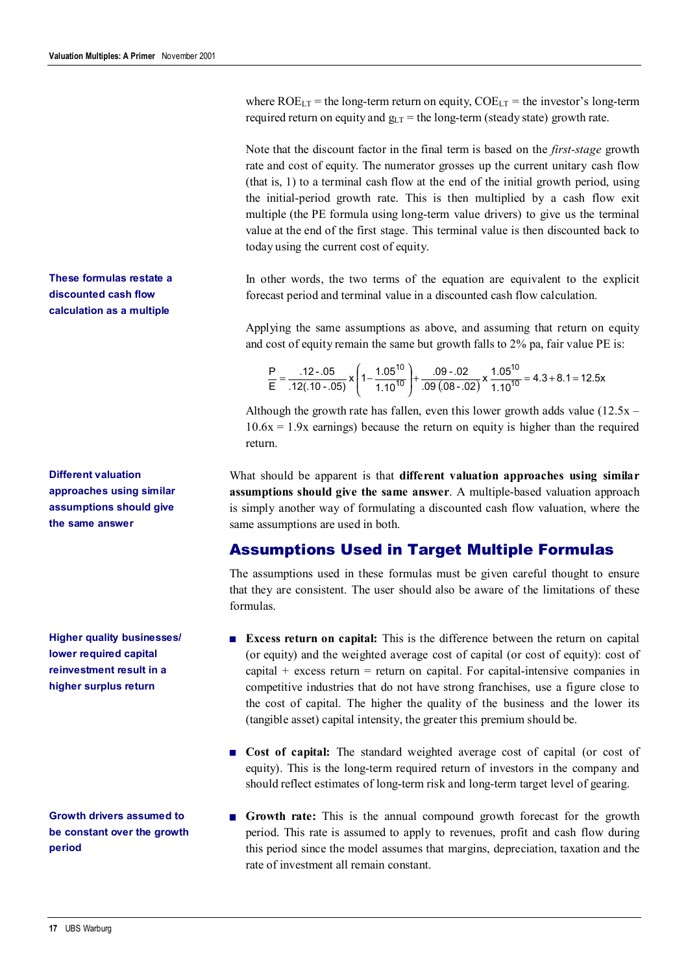**These formulas restate a discounted cash flow calculation as a multiple**

**Different valuation approaches using similar assumptions should give the same answer**

**Higher quality businesses/ lower required capital reinvestment result in a higher surplus return**

**Growth drivers assumed to be constant over the growth period**

where  $ROE_{LT}$  = the long-term return on equity,  $COE_{LT}$  = the investor's long-term required return on equity and  $g_{LT}$  = the long-term (steady state) growth rate.

Note that the discount factor in the final term is based on the *first-stage* growth rate and cost of equity. The numerator grosses up the current unitary cash flow (that is, 1) to a terminal cash flow at the end of the initial growth period, using the initial-period growth rate. This is then multiplied by a cash flow exit multiple (the PE formula using long-term value drivers) to give us the terminal value at the end of the first stage. This terminal value is then discounted back to today using the current cost of equity.

In other words, the two terms of the equation are equivalent to the explicit forecast period and terminal value in a discounted cash flow calculation.

Applying the same assumptions as above, and assuming that return on equity and cost of equity remain the same but growth falls to 2% pa, fair value PE is:

$$
\frac{P}{E} = \frac{.12 - .05}{.12(.10 - .05)} \times \left(1 - \frac{1.05^{10}}{1.10^{10}}\right) + \frac{.09 - .02}{.09(.08 - .02)} \times \frac{1.05^{10}}{1.10^{10}} = 4.3 + 8.1 = 12.5 \times
$$

Although the growth rate has fallen, even this lower growth adds value  $(12.5x 10.6x = 1.9x$  earnings) because the return on equity is higher than the required return.

What should be apparent is that **different valuation approaches using similar assumptions should give the same answer**. A multiple-based valuation approach is simply another way of formulating a discounted cash flow valuation, where the same assumptions are used in both.

# Assumptions Used in Target Multiple Formulas

The assumptions used in these formulas must be given careful thought to ensure that they are consistent. The user should also be aware of the limitations of these formulas.

- **Excess return on capital:** This is the difference between the return on capital (or equity) and the weighted average cost of capital (or cost of equity): cost of capital  $+$  excess return  $=$  return on capital. For capital-intensive companies in competitive industries that do not have strong franchises, use a figure close to the cost of capital. The higher the quality of the business and the lower its (tangible asset) capital intensity, the greater this premium should be.
- **Cost of capital:** The standard weighted average cost of capital (or cost of equity). This is the long-term required return of investors in the company and should reflect estimates of long-term risk and long-term target level of gearing.
- **Growth rate:** This is the annual compound growth forecast for the growth period. This rate is assumed to apply to revenues, profit and cash flow during this period since the model assumes that margins, depreciation, taxation and the rate of investment all remain constant.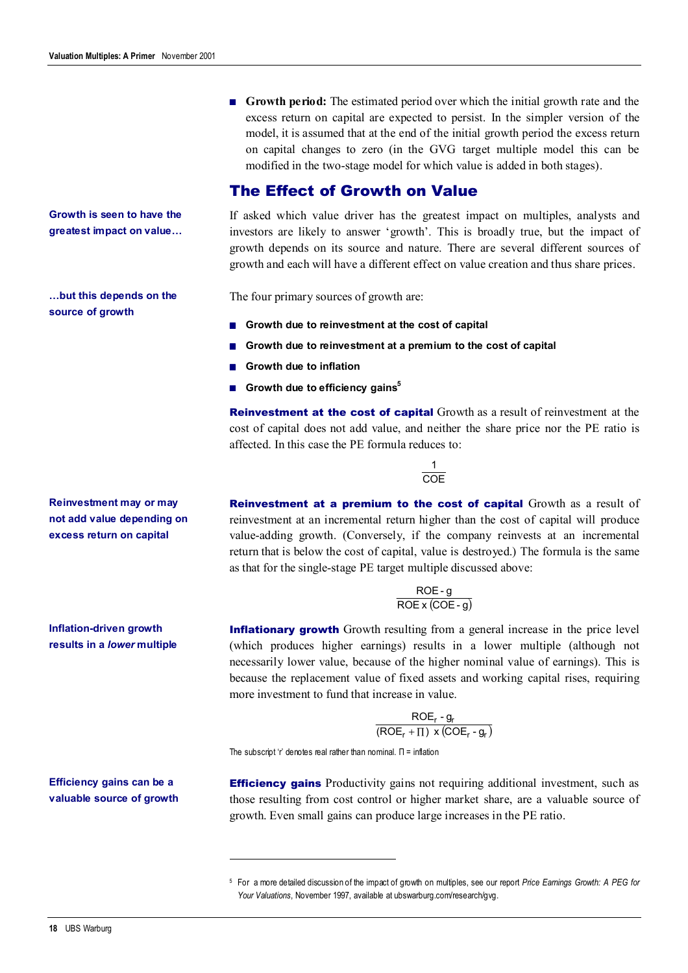■ **Growth period:** The estimated period over which the initial growth rate and the excess return on capital are expected to persist. In the simpler version of the model, it is assumed that at the end of the initial growth period the excess return on capital changes to zero (in the GVG target multiple model this can be modified in the two-stage model for which value is added in both stages).

# The Effect of Growth on Value

If asked which value driver has the greatest impact on multiples, analysts and investors are likely to answer 'growth'. This is broadly true, but the impact of growth depends on its source and nature. There are several different sources of growth and each will have a different effect on value creation and thus share prices.

The four primary sources of growth are:

- **Growth due to reinvestment at the cost of capital**
- **Growth due to reinvestment at a premium to the cost of capital**
- **Growth due to inflation**
- **Growth due to efficiency gains**<sup>5</sup>

**Reinvestment at the cost of capital** Growth as a result of reinvestment at the cost of capital does not add value, and neither the share price nor the PE ratio is affected. In this case the PE formula reduces to:

> COE 1

Reinvestment at a premium to the cost of capital Growth as a result of reinvestment at an incremental return higher than the cost of capital will produce value-adding growth. (Conversely, if the company reinvests at an incremental return that is below the cost of capital, value is destroyed.) The formula is the same as that for the single-stage PE target multiple discussed above:

$$
\frac{\mathsf{ROE} \cdot g}{\mathsf{ROE} \times (\mathsf{COE} \cdot g)}
$$

**Inflationary growth** Growth resulting from a general increase in the price level (which produces higher earnings) results in a lower multiple (although not necessarily lower value, because of the higher nominal value of earnings). This is because the replacement value of fixed assets and working capital rises, requiring more investment to fund that increase in value.

$$
\frac{\text{ROE}_r - g_r}{(\text{ROE}_r + \Pi) \times (\text{COE}_r - g_r)}
$$

The subscript 'r' denotes real rather than nominal.  $\Pi$  = inflation

 $\overline{a}$ 

**Efficiency gains can be a valuable source of growth** **Efficiency gains** Productivity gains not requiring additional investment, such as those resulting from cost control or higher market share, are a valuable source of growth. Even small gains can produce large increases in the PE ratio.

**Growth is seen to have the greatest impact on value…**

**…but this depends on the source of growth**

**Reinvestment may or may not add value depending on excess return on capital**

**Inflation-driven growth results in a** *lower* **multiple**

<sup>5</sup> For a more detailed discussion of the impact of growth on multiples, see our report *Price Earnings Growth: A PEG for Your Valuations*, November 1997, available at ubswarburg.com/research/gvg.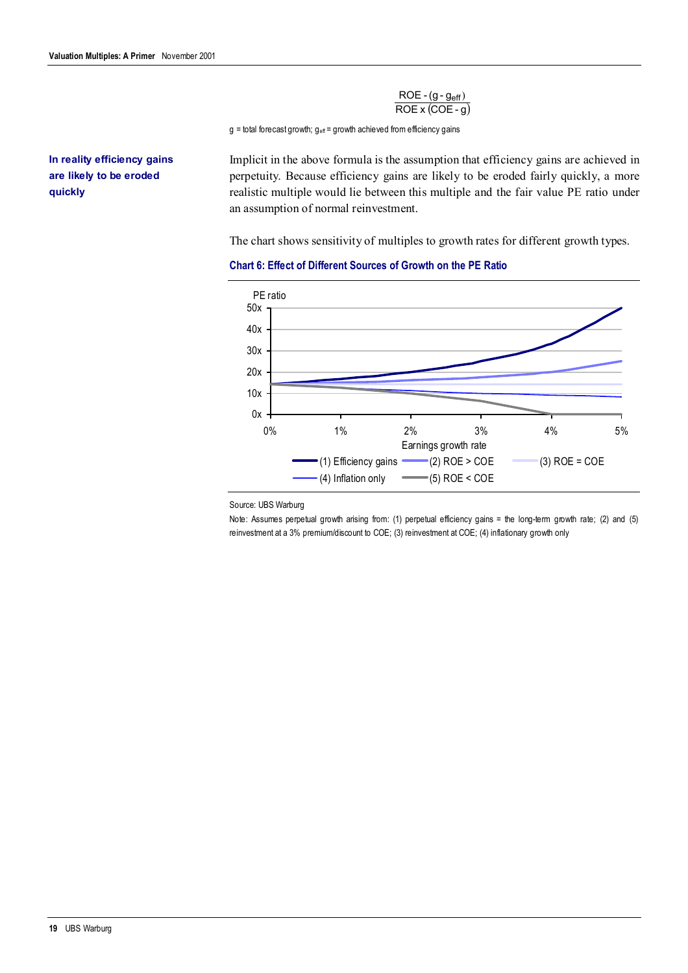$ROEx(COE-g)$  $ROE - (g - g_{eff})$ 

 $g =$  total forecast growth;  $g_{\text{eff}} =$  growth achieved from efficiency gains

**In reality efficiency gains are likely to be eroded quickly**

Implicit in the above formula is the assumption that efficiency gains are achieved in perpetuity. Because efficiency gains are likely to be eroded fairly quickly, a more realistic multiple would lie between this multiple and the fair value PE ratio under an assumption of normal reinvestment.

The chart shows sensitivity of multiples to growth rates for different growth types.

# **Chart 6: Effect of Different Sources of Growth on the PE Ratio**



Source: UBS Warburg

Note: Assumes perpetual growth arising from: (1) perpetual efficiency gains = the long-term growth rate; (2) and (5) reinvestment at a 3% premium/discount to COE; (3) reinvestment at COE; (4) inflationary growth only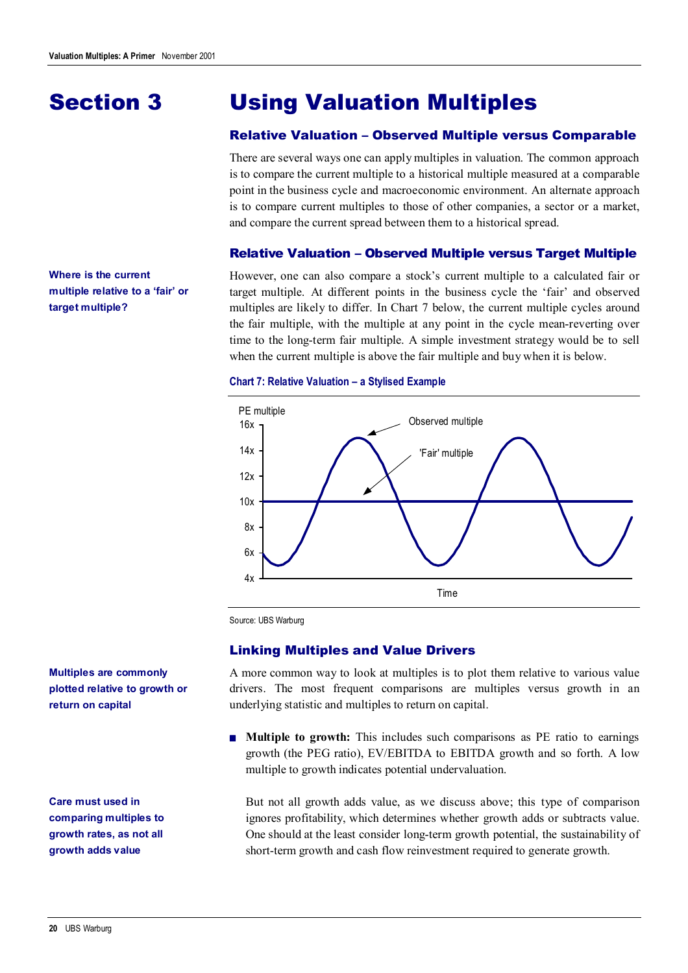# Section 3

# Using Valuation Multiples

# Relative Valuation – Observed Multiple versus Comparable

There are several ways one can apply multiples in valuation. The common approach is to compare the current multiple to a historical multiple measured at a comparable point in the business cycle and macroeconomic environment. An alternate approach is to compare current multiples to those of other companies, a sector or a market, and compare the current spread between them to a historical spread.

# Relative Valuation – Observed Multiple versus Target Multiple

**Where is the current multiple relative to a 'fair' or target multiple?**

However, one can also compare a stock's current multiple to a calculated fair or target multiple. At different points in the business cycle the 'fair' and observed multiples are likely to differ. In Chart 7 below, the current multiple cycles around the fair multiple, with the multiple at any point in the cycle mean-reverting over time to the long-term fair multiple. A simple investment strategy would be to sell when the current multiple is above the fair multiple and buy when it is below.

## **Chart 7: Relative Valuation – a Stylised Example**



Source: UBS Warburg

# Linking Multiples and Value Drivers

A more common way to look at multiples is to plot them relative to various value drivers. The most frequent comparisons are multiples versus growth in an underlying statistic and multiples to return on capital.

■ **Multiple to growth:** This includes such comparisons as PE ratio to earnings growth (the PEG ratio), EV/EBITDA to EBITDA growth and so forth. A low multiple to growth indicates potential undervaluation.

But not all growth adds value, as we discuss above; this type of comparison ignores profitability, which determines whether growth adds or subtracts value. One should at the least consider long-term growth potential, the sustainability of short-term growth and cash flow reinvestment required to generate growth.

**Multiples are commonly plotted relative to growth or return on capital**

**Care must used in comparing multiples to growth rates, as not all growth adds value**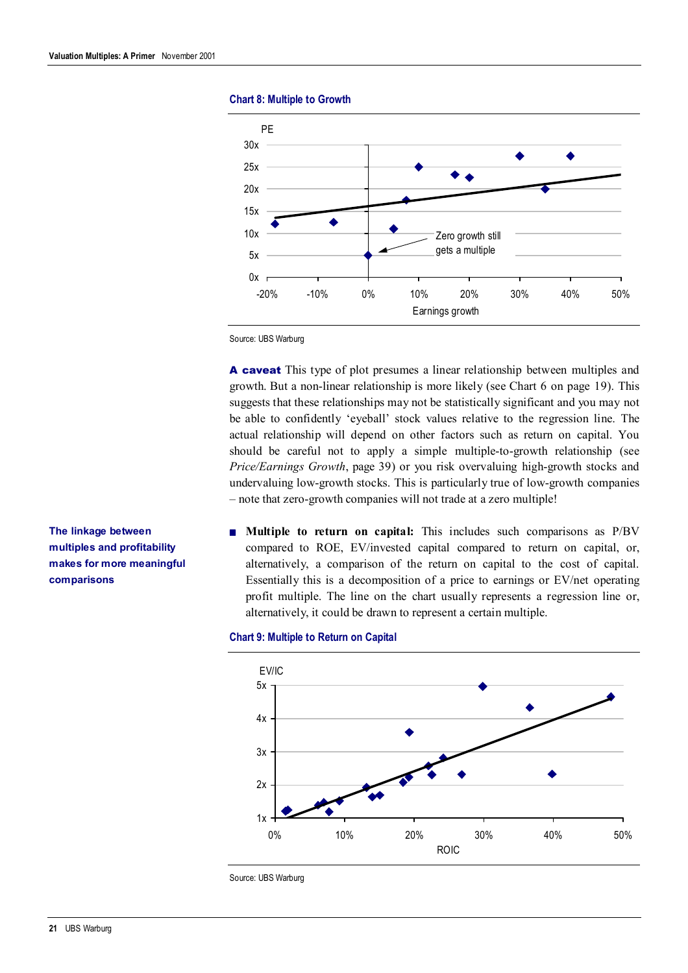



Source: UBS Warburg

A caveat This type of plot presumes a linear relationship between multiples and growth. But a non-linear relationship is more likely (see Chart 6 on page 19). This suggests that these relationships may not be statistically significant and you may not be able to confidently 'eyeball' stock values relative to the regression line. The actual relationship will depend on other factors such as return on capital. You should be careful not to apply a simple multiple-to-growth relationship (see *Price/Earnings Growth*, page 39) or you risk overvaluing high-growth stocks and undervaluing low-growth stocks. This is particularly true of low-growth companies – note that zero-growth companies will not trade at a zero multiple!

■ **Multiple to return on capital:** This includes such comparisons as P/BV compared to ROE, EV/invested capital compared to return on capital, or, alternatively, a comparison of the return on capital to the cost of capital. Essentially this is a decomposition of a price to earnings or EV/net operating profit multiple. The line on the chart usually represents a regression line or, alternatively, it could be drawn to represent a certain multiple.

#### **Chart 9: Multiple to Return on Capital**



Source: UBS Warburg

**The linkage between multiples and profitability makes for more meaningful comparisons**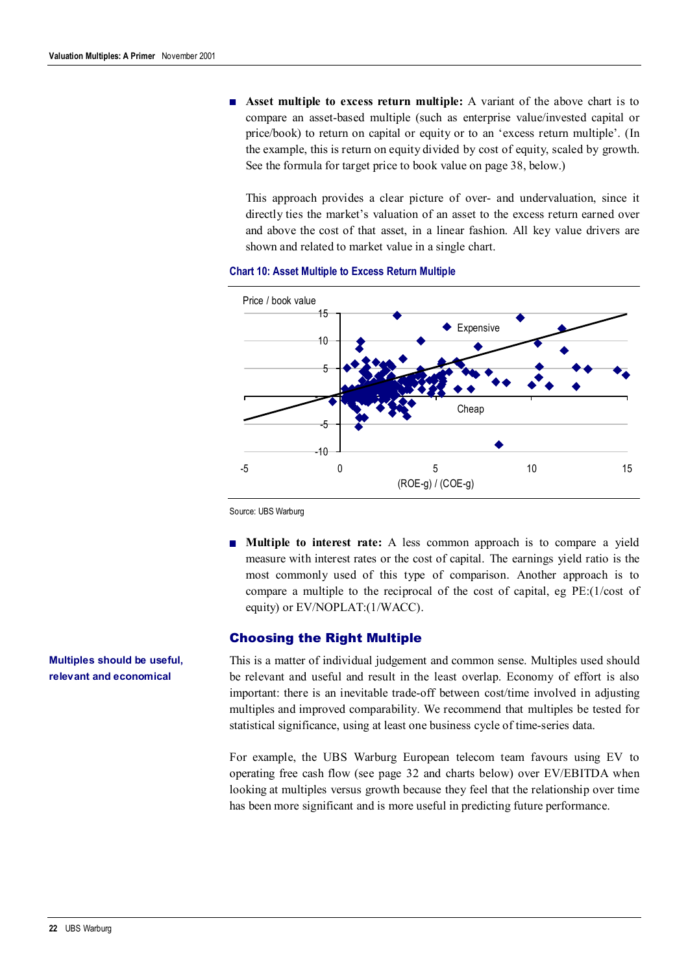■ **Asset multiple to excess return multiple:** A variant of the above chart is to compare an asset-based multiple (such as enterprise value/invested capital or price/book) to return on capital or equity or to an 'excess return multiple'. (In the example, this is return on equity divided by cost of equity, scaled by growth. See the formula for target price to book value on page 38, below.)

This approach provides a clear picture of over- and undervaluation, since it directly ties the market's valuation of an asset to the excess return earned over and above the cost of that asset, in a linear fashion. All key value drivers are shown and related to market value in a single chart.



## **Chart 10: Asset Multiple to Excess Return Multiple**

Source: UBS Warburg

■ **Multiple to interest rate:** A less common approach is to compare a yield measure with interest rates or the cost of capital. The earnings yield ratio is the most commonly used of this type of comparison. Another approach is to compare a multiple to the reciprocal of the cost of capital, eg PE:(1/cost of equity) or EV/NOPLAT:(1/WACC).

# Choosing the Right Multiple

This is a matter of individual judgement and common sense. Multiples used should be relevant and useful and result in the least overlap. Economy of effort is also important: there is an inevitable trade-off between cost/time involved in adjusting multiples and improved comparability. We recommend that multiples be tested for statistical significance, using at least one business cycle of time-series data.

For example, the UBS Warburg European telecom team favours using EV to operating free cash flow (see page 32 and charts below) over EV/EBITDA when looking at multiples versus growth because they feel that the relationship over time has been more significant and is more useful in predicting future performance.

**Multiples should be useful, relevant and economical**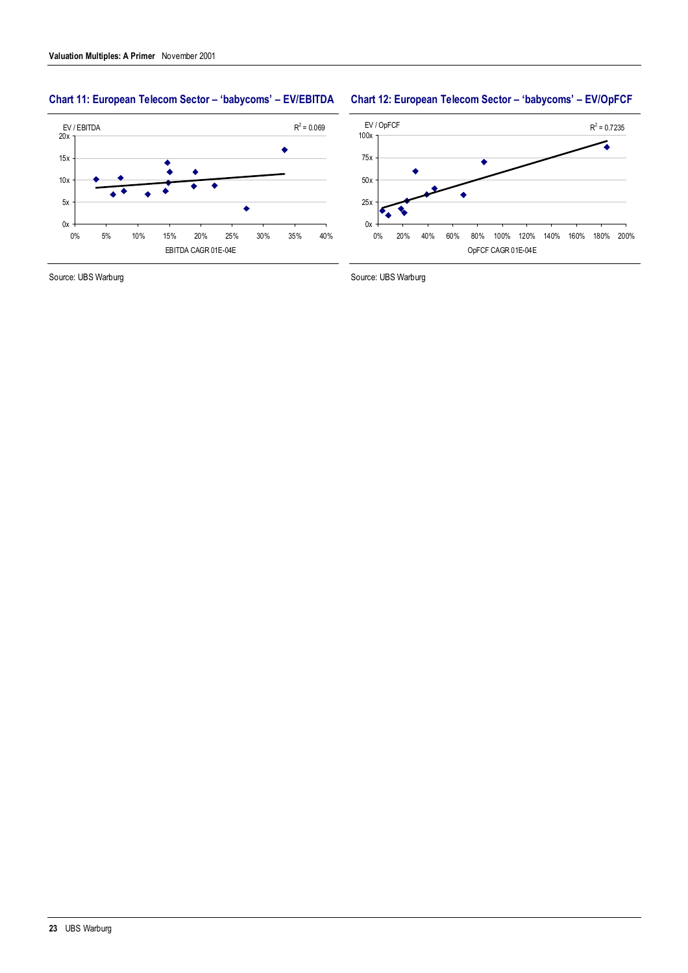# **Chart 11: European Telecom Sector – 'babycoms' – EV/EBITDA Chart 12: European Telecom Sector – 'babycoms' – EV/OpFCF**





Source: UBS Warburg Source: UBS Warburg Source: UBS Warburg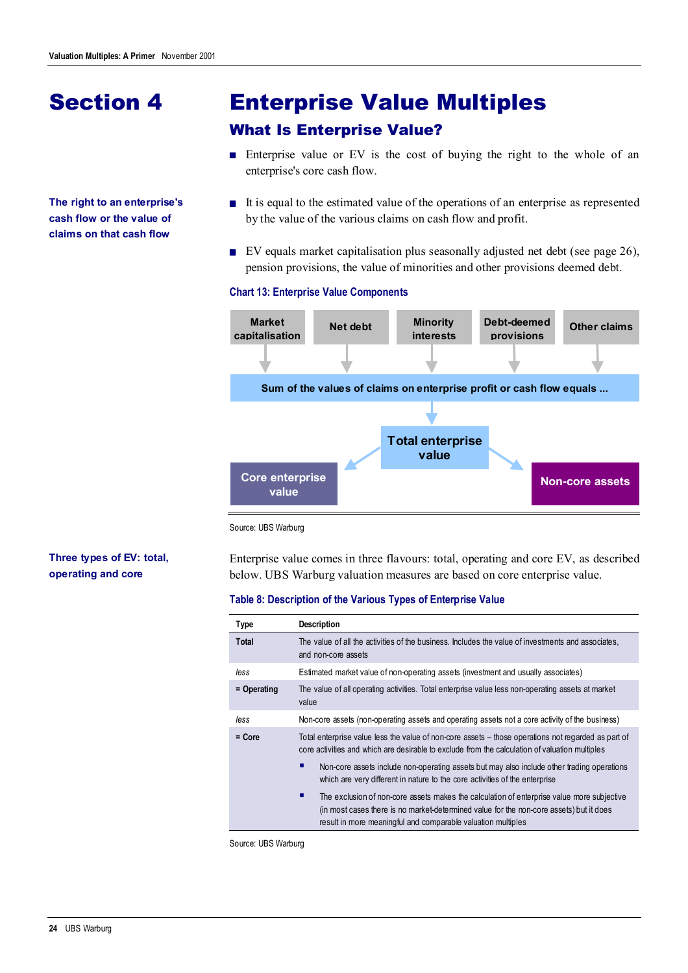# Section 4

**The right to an enterprise's cash flow or the value of claims on that cash flow**

# Enterprise Value Multiples

# What Is Enterprise Value?

- Enterprise value or EV is the cost of buying the right to the whole of an enterprise's core cash flow.
- It is equal to the estimated value of the operations of an enterprise as represented by the value of the various claims on cash flow and profit.
- EV equals market capitalisation plus seasonally adjusted net debt (see page 26), pension provisions, the value of minorities and other provisions deemed debt.

#### **Chart 13: Enterprise Value Components**



Source: UBS Warburg

# **Three types of EV: total, operating and core**

Enterprise value comes in three flavours: total, operating and core EV, as described below. UBS Warburg valuation measures are based on core enterprise value.

#### **Table 8: Description of the Various Types of Enterprise Value**

| Type          | <b>Description</b>                                                                                                                                                                                                                                         |
|---------------|------------------------------------------------------------------------------------------------------------------------------------------------------------------------------------------------------------------------------------------------------------|
| <b>Total</b>  | The value of all the activities of the business. Includes the value of investments and associates,<br>and non-core assets                                                                                                                                  |
| less          | Estimated market value of non-operating assets (investment and usually associates)                                                                                                                                                                         |
| $=$ Operating | The value of all operating activities. Total enterprise value less non-operating assets at market<br>value                                                                                                                                                 |
| less          | Non-core assets (non-operating assets and operating assets not a core activity of the business)                                                                                                                                                            |
| $=$ Core      | Total enterprise value less the value of non-core assets – those operations not regarded as part of<br>core activities and which are desirable to exclude from the calculation of valuation multiples                                                      |
|               | Non-core assets include non-operating assets but may also include other trading operations<br>п<br>which are very different in nature to the core activities of the enterprise                                                                             |
|               | п<br>The exclusion of non-core assets makes the calculation of enterprise value more subjective<br>(in most cases there is no market-determined value for the non-core assets) but it does<br>result in more meaningful and comparable valuation multiples |

Source: UBS Warburg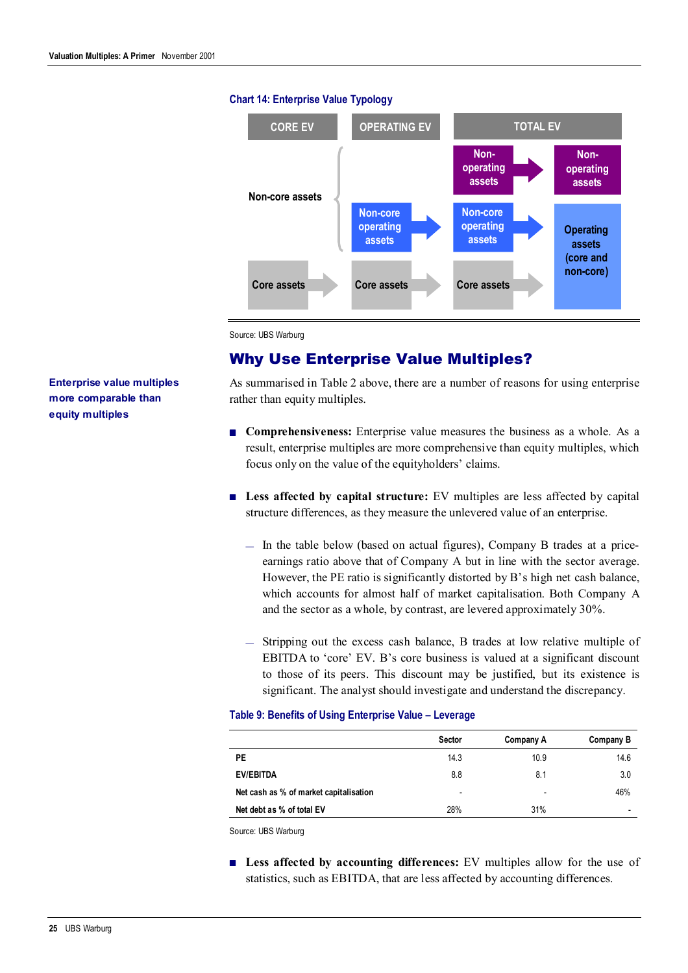# **Chart 14: Enterprise Value Typology**



Source: UBS Warburg

# Why Use Enterprise Value Multiples?

As summarised in Table 2 above, there are a number of reasons for using enterprise rather than equity multiples.

- **Comprehensiveness:** Enterprise value measures the business as a whole. As a result, enterprise multiples are more comprehensive than equity multiples, which focus only on the value of the equityholders' claims.
- Less affected by capital structure: EV multiples are less affected by capital structure differences, as they measure the unlevered value of an enterprise.
	- **—** In the table below (based on actual figures), Company B trades at a priceearnings ratio above that of Company A but in line with the sector average. However, the PE ratio is significantly distorted by B's high net cash balance, which accounts for almost half of market capitalisation. Both Company A and the sector as a whole, by contrast, are levered approximately 30%.
	- **—** Stripping out the excess cash balance, B trades at low relative multiple of EBITDA to 'core' EV. B's core business is valued at a significant discount to those of its peers. This discount may be justified, but its existence is significant. The analyst should investigate and understand the discrepancy.

### **Table 9: Benefits of Using Enterprise Value – Leverage**

|                                        | <b>Sector</b>            | Company A                | Company B |
|----------------------------------------|--------------------------|--------------------------|-----------|
| PE                                     | 14.3                     | 10.9                     | 14.6      |
| <b>EV/EBITDA</b>                       | 8.8                      | 8.1                      | 3.0       |
| Net cash as % of market capitalisation | $\overline{\phantom{a}}$ | $\overline{\phantom{0}}$ | 46%       |
| Net debt as % of total EV              | 28%                      | 31%                      |           |

Source: UBS Warburg

■ **Less affected by accounting differences:** EV multiples allow for the use of statistics, such as EBITDA, that are less affected by accounting differences.

**Enterprise value multiples more comparable than equity multiples**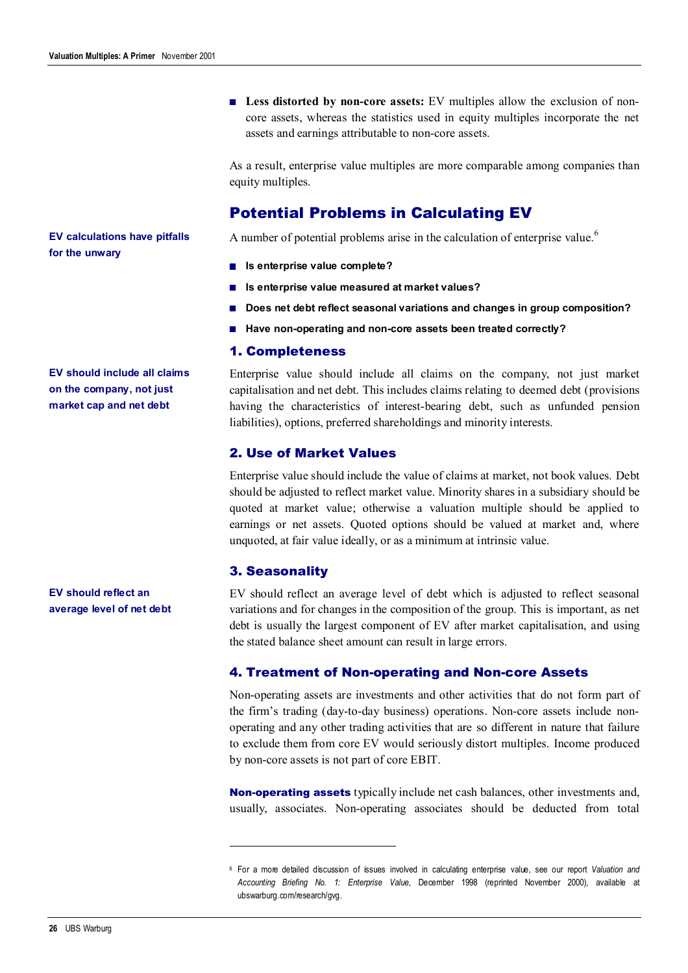■ **Less distorted by non-core assets:** EV multiples allow the exclusion of noncore assets, whereas the statistics used in equity multiples incorporate the net assets and earnings attributable to non-core assets.

As a result, enterprise value multiples are more comparable among companies than equity multiples.

# Potential Problems in Calculating EV

A number of potential problems arise in the calculation of enterprise value.<sup>6</sup>

- **Is enterprise value complete?**
- **Is enterprise value measured at market values?**
- **Does net debt reflect seasonal variations and changes in group composition?**
- Have non-operating and non-core assets been treated correctly?

#### 1. Completeness

Enterprise value should include all claims on the company, not just market capitalisation and net debt. This includes claims relating to deemed debt (provisions having the characteristics of interest-bearing debt, such as unfunded pension liabilities), options, preferred shareholdings and minority interests.

# 2. Use of Market Values

Enterprise value should include the value of claims at market, not book values. Debt should be adjusted to reflect market value. Minority shares in a subsidiary should be quoted at market value; otherwise a valuation multiple should be applied to earnings or net assets. Quoted options should be valued at market and, where unquoted, at fair value ideally, or as a minimum at intrinsic value.

## 3. Seasonality

 $\overline{a}$ 

EV should reflect an average level of debt which is adjusted to reflect seasonal variations and for changes in the composition of the group. This is important, as net debt is usually the largest component of EV after market capitalisation, and using the stated balance sheet amount can result in large errors.

# 4. Treatment of Non-operating and Non-core Assets

Non-operating assets are investments and other activities that do not form part of the firm's trading (day-to-day business) operations. Non-core assets include nonoperating and any other trading activities that are so different in nature that failure to exclude them from core EV would seriously distort multiples. Income produced by non-core assets is not part of core EBIT.

Non-operating assets typically include net cash balances, other investments and, usually, associates. Non-operating associates should be deducted from total

**EV calculations have pitfalls for the unwary**

**EV should include all claims on the company, not just market cap and net debt**

**EV should reflect an average level of net debt**

<sup>6</sup> For a more detailed discussion of issues involved in calculating enterprise value, see our report *Valuation and Accounting Briefing No. 1: Enterprise Value*, December 1998 (reprinted November 2000), available at ubswarburg.com/research/gvg.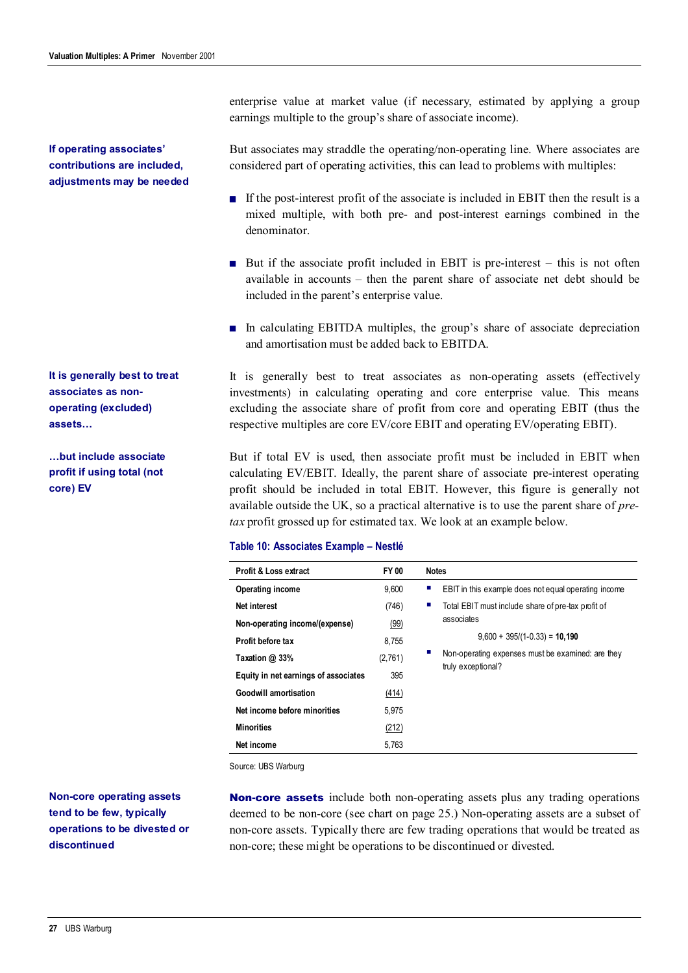**If operating associates' contributions are included, adjustments may be needed**

**It is generally best to treat associates as nonoperating (excluded) assets…**

**…but include associate profit if using total (not core) EV**

enterprise value at market value (if necessary, estimated by applying a group earnings multiple to the group's share of associate income).

But associates may straddle the operating/non-operating line. Where associates are considered part of operating activities, this can lead to problems with multiples:

- If the post-interest profit of the associate is included in EBIT then the result is a mixed multiple, with both pre- and post-interest earnings combined in the denominator.
- But if the associate profit included in EBIT is pre-interest this is not often available in accounts – then the parent share of associate net debt should be included in the parent's enterprise value.
- In calculating EBITDA multiples, the group's share of associate depreciation and amortisation must be added back to EBITDA.

It is generally best to treat associates as non-operating assets (effectively investments) in calculating operating and core enterprise value. This means excluding the associate share of profit from core and operating EBIT (thus the respective multiples are core EV/core EBIT and operating EV/operating EBIT).

But if total EV is used, then associate profit must be included in EBIT when calculating EV/EBIT. Ideally, the parent share of associate pre-interest operating profit should be included in total EBIT. However, this figure is generally not available outside the UK, so a practical alternative is to use the parent share of *pretax* profit grossed up for estimated tax. We look at an example below.

### **Table 10: Associates Example – Nestlé**

| Profit & Loss extract                | FY 00   | <b>Notes</b>                                              |  |
|--------------------------------------|---------|-----------------------------------------------------------|--|
| Operating income                     | 9.600   | п<br>EBIT in this example does not equal operating income |  |
| Net interest                         | (746)   | Total EBIT must include share of pre-tax profit of<br>ш   |  |
| Non-operating income/(expense)       | (99)    | associates                                                |  |
| Profit before tax                    | 8,755   | $9,600 + 395/(1 - 0.33) = 10,190$                         |  |
| Taxation $@33\%$                     | (2,761) | Non-operating expenses must be examined: are they         |  |
| Equity in net earnings of associates | 395     | truly exceptional?                                        |  |
| Goodwill amortisation                | (414)   |                                                           |  |
| Net income before minorities         | 5.975   |                                                           |  |
| <b>Minorities</b>                    | (212)   |                                                           |  |
| Net income                           | 5,763   |                                                           |  |

Source: UBS Warburg

**Non-core operating assets tend to be few, typically operations to be divested or discontinued**

Non-core assets include both non-operating assets plus any trading operations deemed to be non-core (see chart on page 25.) Non-operating assets are a subset of non-core assets. Typically there are few trading operations that would be treated as non-core; these might be operations to be discontinued or divested.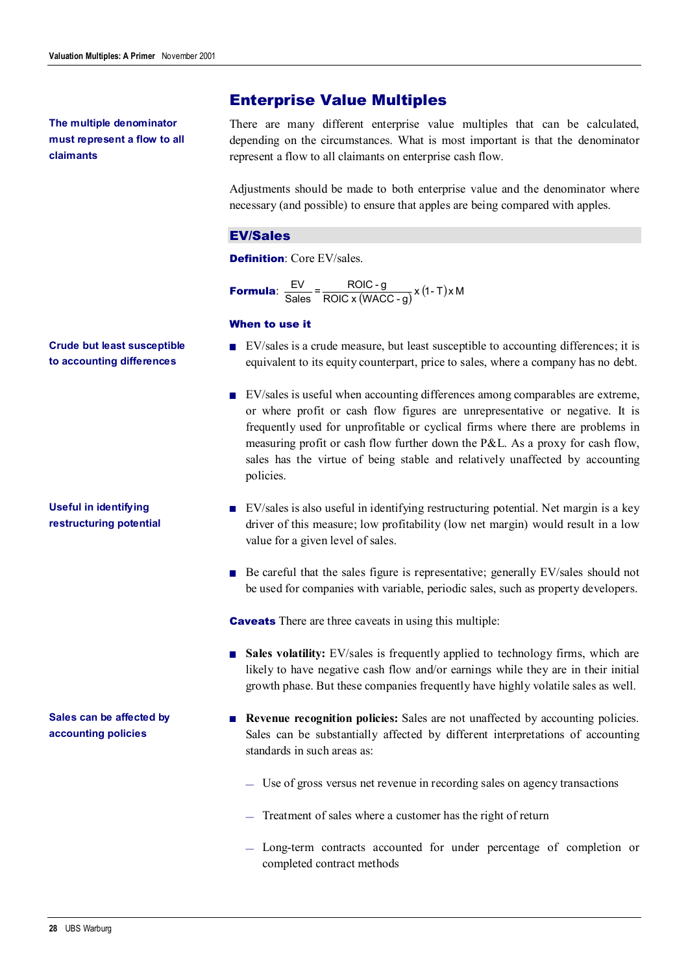**The multiple denominator must represent a flow to all claimants**

# Enterprise Value Multiples

There are many different enterprise value multiples that can be calculated, depending on the circumstances. What is most important is that the denominator represent a flow to all claimants on enterprise cash flow.

Adjustments should be made to both enterprise value and the denominator where necessary (and possible) to ensure that apples are being compared with apples.

# EV/Sales

**Definition: Core EV/sales.** 

**Formula**:  $\frac{EV}{Sales} = \frac{ROIC \cdot g}{ROIC \times (WACC \cdot g)} \times (1-T) \times M$ 

# When to use it

- EV/sales is a crude measure, but least susceptible to accounting differences; it is equivalent to its equity counterpart, price to sales, where a company has no debt.
- EV/sales is useful when accounting differences among comparables are extreme, or where profit or cash flow figures are unrepresentative or negative. It is frequently used for unprofitable or cyclical firms where there are problems in measuring profit or cash flow further down the P&L. As a proxy for cash flow, sales has the virtue of being stable and relatively unaffected by accounting policies.
- EV/sales is also useful in identifying restructuring potential. Net margin is a key driver of this measure; low profitability (low net margin) would result in a low value for a given level of sales.
- Be careful that the sales figure is representative; generally EV/sales should not be used for companies with variable, periodic sales, such as property developers.

**Caveats** There are three caveats in using this multiple:

- Sales volatility: EV/sales is frequently applied to technology firms, which are likely to have negative cash flow and/or earnings while they are in their initial growth phase. But these companies frequently have highly volatile sales as well.
- **Revenue recognition policies:** Sales are not unaffected by accounting policies. Sales can be substantially affected by different interpretations of accounting standards in such areas as:
	- **—** Use of gross versus net revenue in recording sales on agency transactions
	- **—** Treatment of sales where a customer has the right of return
	- **—** Long-term contracts accounted for under percentage of completion or completed contract methods

**Crude but least susceptible to accounting differences**

# **Useful in identifying restructuring potential**

**Sales can be affected by accounting policies**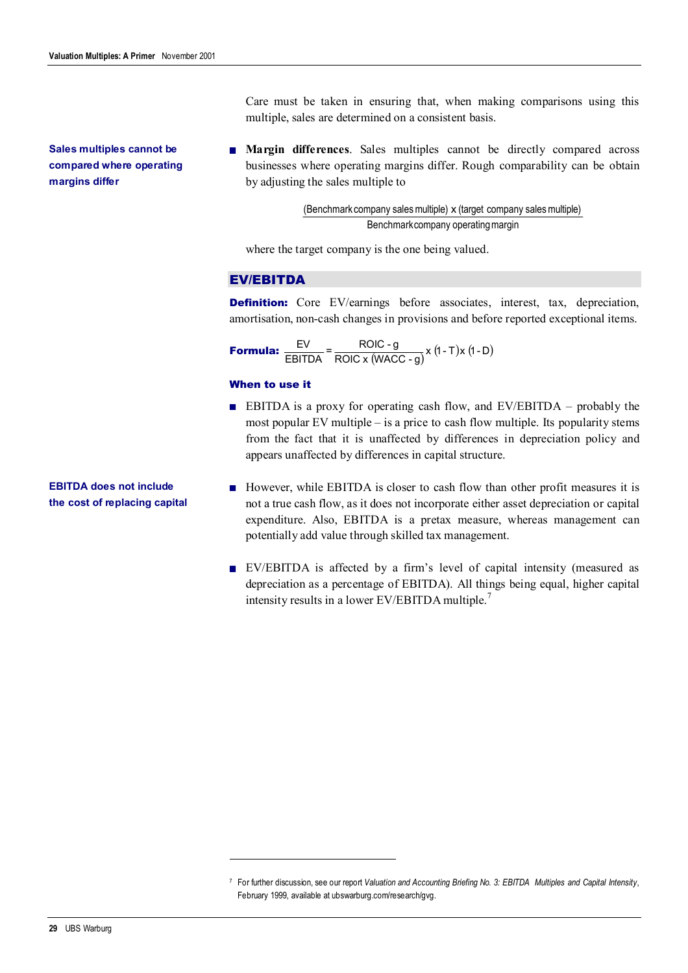**Sales multiples cannot be compared where operating margins differ**

**EBITDA does not include the cost of replacing capital** Care must be taken in ensuring that, when making comparisons using this multiple, sales are determined on a consistent basis.

■ **Margin differences**. Sales multiples cannot be directly compared across businesses where operating margins differ. Rough comparability can be obtain by adjusting the sales multiple to

> Benchmarkcompany operating margin (Benchmark company salesmultiple) x (target company salesmultiple)

where the target company is the one being valued.

### EV/EBITDA

**Definition:** Core EV/earnings before associates, interest, tax, depreciation, amortisation, non-cash changes in provisions and before reported exceptional items.

**Formula:**  $\frac{EV}{EBITDA} = \frac{ROIC \cdot g}{ROIC \times (WACC \cdot g)} \times (1-T) \times (1-D)$ 

# When to use it

 $\overline{a}$ 

- EBITDA is a proxy for operating cash flow, and EV/EBITDA probably the most popular EV multiple – is a price to cash flow multiple. Its popularity stems from the fact that it is unaffected by differences in depreciation policy and appears unaffected by differences in capital structure.
- However, while EBITDA is closer to cash flow than other profit measures it is not a true cash flow, as it does not incorporate either asset depreciation or capital expenditure. Also, EBITDA is a pretax measure, whereas management can potentially add value through skilled tax management.
- EV/EBITDA is affected by a firm's level of capital intensity (measured as depreciation as a percentage of EBITDA). All things being equal, higher capital intensity results in a lower EV/EBITDA multiple.<sup>7</sup>

<sup>7</sup> For further discussion, see our report *Valuation and Accounting Briefing No. 3: EBITDA Multiples and Capital Intensity*, February 1999, available at ubswarburg.com/research/gvg.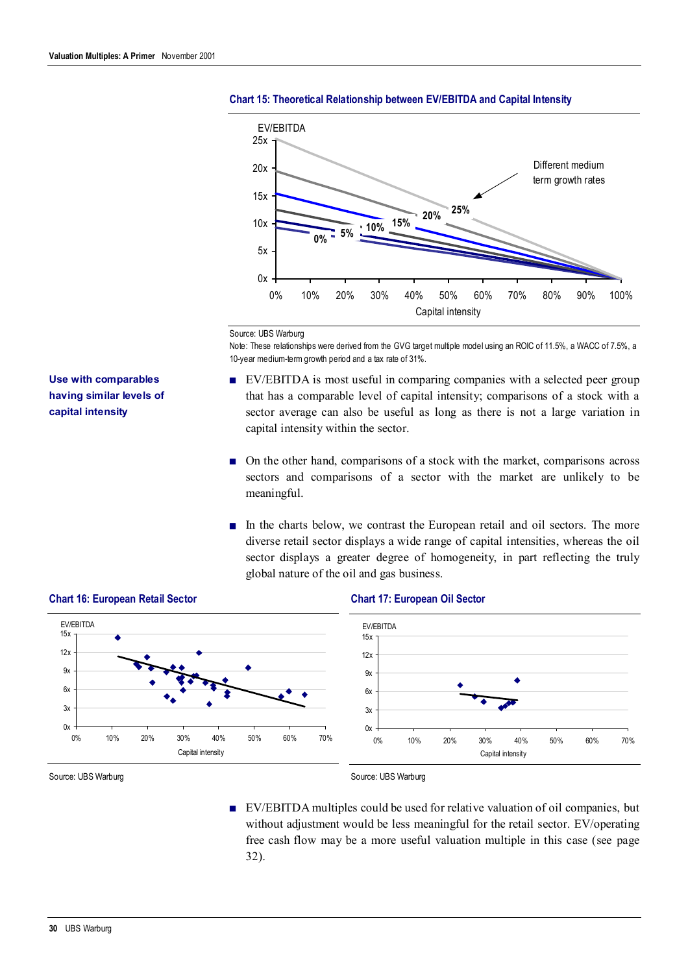

**Chart 15: Theoretical Relationship between EV/EBITDA and Capital Intensity**

Source: UBS Warburg

Note: These relationships were derived from the GVG target multiple model using an ROIC of 11.5%, a WACC of 7.5%, a 10-year medium-term growth period and a tax rate of 31%.

- EV/EBITDA is most useful in comparing companies with a selected peer group that has a comparable level of capital intensity; comparisons of a stock with a sector average can also be useful as long as there is not a large variation in capital intensity within the sector.
- On the other hand, comparisons of a stock with the market, comparisons across sectors and comparisons of a sector with the market are unlikely to be meaningful.
- In the charts below, we contrast the European retail and oil sectors. The more diverse retail sector displays a wide range of capital intensities, whereas the oil sector displays a greater degree of homogeneity, in part reflecting the truly global nature of the oil and gas business.



**Use with comparables having similar levels of**

**capital intensity**

Source: UBS Warburg Source: UBS Warburg Source: UBS Warburg

■ EV/EBITDA multiples could be used for relative valuation of oil companies, but without adjustment would be less meaningful for the retail sector. EV/operating free cash flow may be a more useful valuation multiple in this case (see page 32).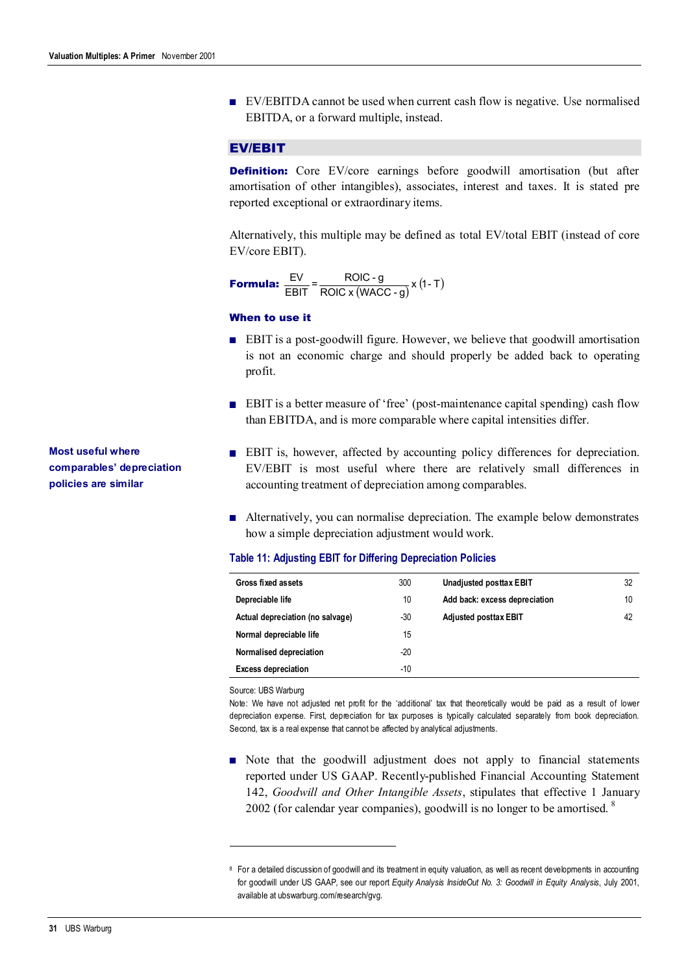$\blacksquare$  EV/EBITDA cannot be used when current cash flow is negative. Use normalised EBITDA, or a forward multiple, instead.

# EV/EBIT

**Definition:** Core EV/core earnings before goodwill amortisation (but after amortisation of other intangibles), associates, interest and taxes. It is stated pre reported exceptional or extraordinary items.

Alternatively, this multiple may be defined as total EV/total EBIT (instead of core EV/core EBIT).

**Formula:**  $\frac{EV}{EBIT} = \frac{ROIC \cdot g}{ROIC \times (WACC \cdot g)} \times (1-T)$ 

## When to use it

- EBIT is a post-goodwill figure. However, we believe that goodwill amortisation is not an economic charge and should properly be added back to operating profit.
- EBIT is a better measure of 'free' (post-maintenance capital spending) cash flow than EBITDA, and is more comparable where capital intensities differ.
- EBIT is, however, affected by accounting policy differences for depreciation. EV/EBIT is most useful where there are relatively small differences in accounting treatment of depreciation among comparables.
- Alternatively, you can normalise depreciation. The example below demonstrates how a simple depreciation adjustment would work.

### **Table 11: Adjusting EBIT for Differing Depreciation Policies**

| Gross fixed assets               | 300   | Unadjusted posttax EBIT       | 32 |
|----------------------------------|-------|-------------------------------|----|
| Depreciable life                 | 10    | Add back: excess depreciation | 10 |
| Actual depreciation (no salvage) | $-30$ | <b>Adjusted posttax EBIT</b>  | 42 |
| Normal depreciable life          | 15    |                               |    |
| Normalised depreciation          | $-20$ |                               |    |
| <b>Excess depreciation</b>       | -10   |                               |    |

Source: UBS Warburg

 $\overline{a}$ 

Note: We have not adjusted net profit for the 'additional' tax that theoretically would be paid as a result of lower depreciation expense. First, depreciation for tax purposes is typically calculated separately from book depreciation. Second, tax is a real expense that cannot be affected by analytical adjustments.

■ Note that the goodwill adjustment does not apply to financial statements reported under US GAAP. Recently-published Financial Accounting Statement 142, *Goodwill and Other Intangible Assets*, stipulates that effective 1 January 2002 (for calendar year companies), goodwill is no longer to be amortised.  $8$ 

**Most useful where comparables' depreciation policies are similar**

<sup>8</sup> For a detailed discussion of goodwill and its treatment in equity valuation, as well as recent developments in accounting for goodwill under US GAAP, see our report *Equity Analysis InsideOut No. 3: Goodwill in Equity Analysis*, July 2001, available at ubswarburg.com/research/gvg.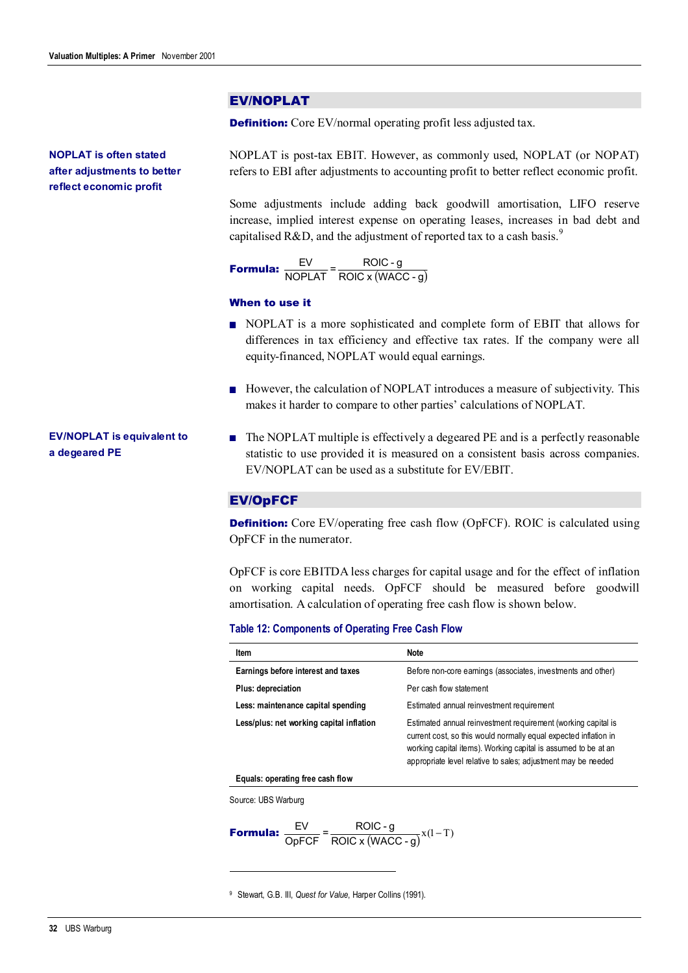# EV/NOPLAT

**Definition:** Core EV/normal operating profit less adjusted tax.

**NOPLAT is often stated after adjustments to better reflect economic profit**

NOPLAT is post-tax EBIT. However, as commonly used, NOPLAT (or NOPAT) refers to EBI after adjustments to accounting profit to better reflect economic profit.

Some adjustments include adding back goodwill amortisation, LIFO reserve increase, implied interest expense on operating leases, increases in bad debt and capitalised R&D, and the adjustment of reported tax to a cash basis.<sup>9</sup>

**Formula:**  $\frac{EV}{NOPLAT} = \frac{ROIC \cdot g}{ROIC \times (WACC \cdot g)}$ 

# When to use it

- NOPLAT is a more sophisticated and complete form of EBIT that allows for differences in tax efficiency and effective tax rates. If the company were all equity-financed, NOPLAT would equal earnings.
- However, the calculation of NOPLAT introduces a measure of subjectivity. This makes it harder to compare to other parties' calculations of NOPLAT.
- The NOPLAT multiple is effectively a degeared PE and is a perfectly reasonable statistic to use provided it is measured on a consistent basis across companies. EV/NOPLAT can be used as a substitute for EV/EBIT.

# EV/OpFCF

**Definition:** Core EV/operating free cash flow (OpFCF). ROIC is calculated using OpFCF in the numerator.

OpFCF is core EBITDA less charges for capital usage and for the effect of inflation on working capital needs. OpFCF should be measured before goodwill amortisation. A calculation of operating free cash flow is shown below.

**Table 12: Components of Operating Free Cash Flow**

| Item                                     | <b>Note</b>                                                                                                                                                                                                                                                          |
|------------------------------------------|----------------------------------------------------------------------------------------------------------------------------------------------------------------------------------------------------------------------------------------------------------------------|
| Earnings before interest and taxes       | Before non-core earnings (associates, investments and other)                                                                                                                                                                                                         |
| Plus: depreciation                       | Per cash flow statement                                                                                                                                                                                                                                              |
| Less: maintenance capital spending       | Estimated annual reinvestment requirement                                                                                                                                                                                                                            |
| Less/plus: net working capital inflation | Estimated annual reinvestment requirement (working capital is<br>current cost, so this would normally equal expected inflation in<br>working capital items). Working capital is assumed to be at an<br>appropriate level relative to sales; adjustment may be needed |

**Equals: operating free cash flow**

Source: UBS Warburg

 $\overline{a}$ 

**Formula:** 
$$
\frac{EV}{OpFCF} = \frac{ROIC \cdot g}{ROIC \times (WACC \cdot g)} x (1-T)
$$

<sup>9</sup> Stewart, G.B. III, *Quest for Value*, Harper Collins (1991).

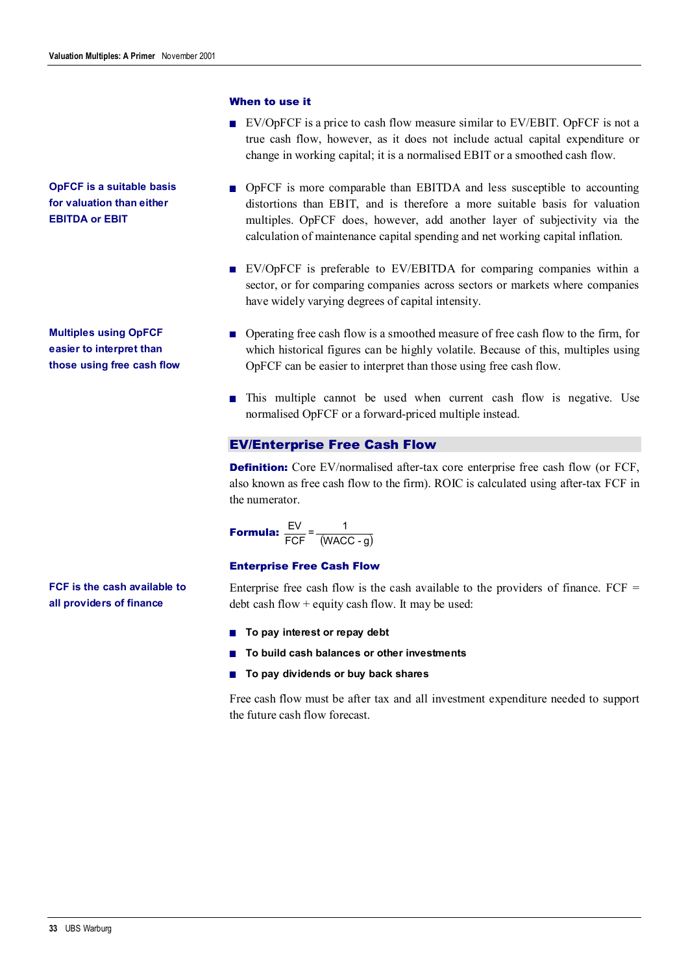**OpFCF is a suitable basis for valuation than either EBITDA or EBIT**

**Multiples using OpFCF easier to interpret than those using free cash flow**

# When to use it

- EV/OpFCF is a price to cash flow measure similar to EV/EBIT. OpFCF is not a true cash flow, however, as it does not include actual capital expenditure or change in working capital; it is a normalised EBIT or a smoothed cash flow.
- OpFCF is more comparable than EBITDA and less susceptible to accounting distortions than EBIT, and is therefore a more suitable basis for valuation multiples. OpFCF does, however, add another layer of subjectivity via the calculation of maintenance capital spending and net working capital inflation.
- EV/OpFCF is preferable to EV/EBITDA for comparing companies within a sector, or for comparing companies across sectors or markets where companies have widely varying degrees of capital intensity.
- Operating free cash flow is a smoothed measure of free cash flow to the firm, for which historical figures can be highly volatile. Because of this, multiples using OpFCF can be easier to interpret than those using free cash flow.
- This multiple cannot be used when current cash flow is negative. Use normalised OpFCF or a forward-priced multiple instead.

# EV/Enterprise Free Cash Flow

**Definition:** Core EV/normalised after-tax core enterprise free cash flow (or FCF, also known as free cash flow to the firm). ROIC is calculated using after-tax FCF in the numerator.

**Formula:** 
$$
\frac{EV}{FCF} = \frac{1}{(WACC - g)}
$$

#### Enterprise Free Cash Flow

Enterprise free cash flow is the cash available to the providers of finance.  $FCF =$ debt cash flow  $+$  equity cash flow. It may be used:

- **To pay interest or repay debt**
- **To build cash balances or other investments**
- **To pay dividends or buy back shares**

Free cash flow must be after tax and all investment expenditure needed to support the future cash flow forecast.

**FCF is the cash available to all providers of finance**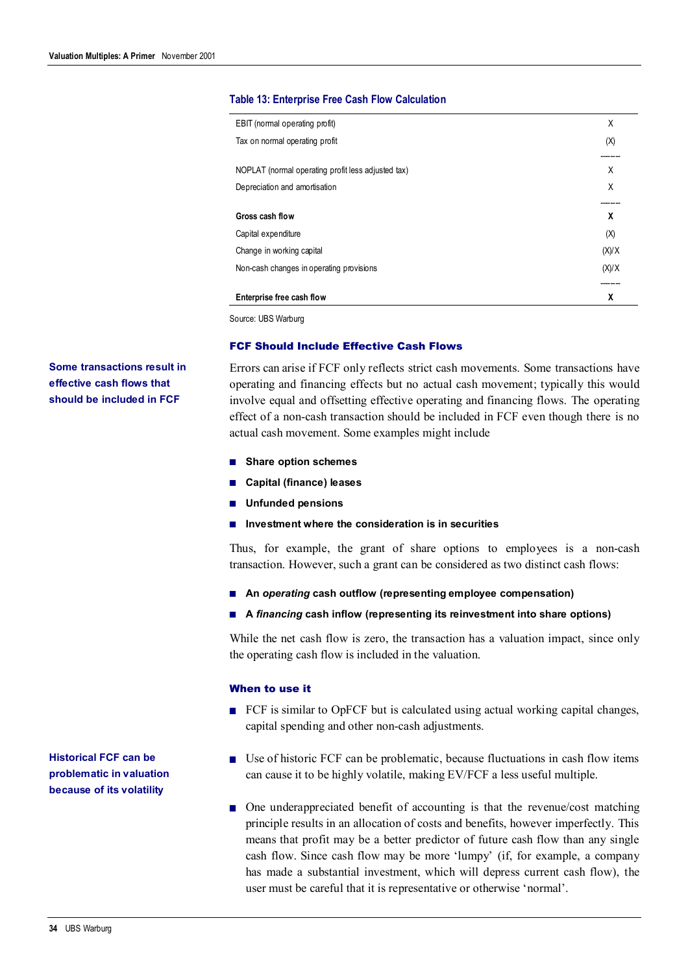### **Table 13: Enterprise Free Cash Flow Calculation**

| EBIT (normal operating profit)                     | Χ     |
|----------------------------------------------------|-------|
| Tax on normal operating profit                     | (X)   |
| NOPLAT (normal operating profit less adjusted tax) | X     |
| Depreciation and amortisation                      | X     |
| Gross cash flow                                    | X     |
| Capital expenditure                                | (X)   |
| Change in working capital                          | (X)/X |
| Non-cash changes in operating provisions           | (X)/X |
| Enterprise free cash flow                          | X     |

Source: UBS Warburg

### FCF Should Include Effective Cash Flows

**Some transactions result in effective cash flows that should be included in FCF**

Errors can arise if FCF only reflects strict cash movements. Some transactions have operating and financing effects but no actual cash movement; typically this would involve equal and offsetting effective operating and financing flows. The operating effect of a non-cash transaction should be included in FCF even though there is no actual cash movement. Some examples might include

- **Share option schemes**
- **Capital (finance) leases**
- **Unfunded pensions**
- **Investment where the consideration is in securities**

Thus, for example, the grant of share options to employees is a non-cash transaction. However, such a grant can be considered as two distinct cash flows:

- An *operating* cash outflow (representing employee compensation)
- A *financing* cash inflow (representing its reinvestment into share options)

While the net cash flow is zero, the transaction has a valuation impact, since only the operating cash flow is included in the valuation.

### When to use it

- FCF is similar to OpFCF but is calculated using actual working capital changes, capital spending and other non-cash adjustments.
- Use of historic FCF can be problematic, because fluctuations in cash flow items can cause it to be highly volatile, making EV/FCF a less useful multiple.
- One underappreciated benefit of accounting is that the revenue/cost matching principle results in an allocation of costs and benefits, however imperfectly. This means that profit may be a better predictor of future cash flow than any single cash flow. Since cash flow may be more 'lumpy' (if, for example, a company has made a substantial investment, which will depress current cash flow), the user must be careful that it is representative or otherwise 'normal'.

**Historical FCF can be problematic in valuation because of its volatility**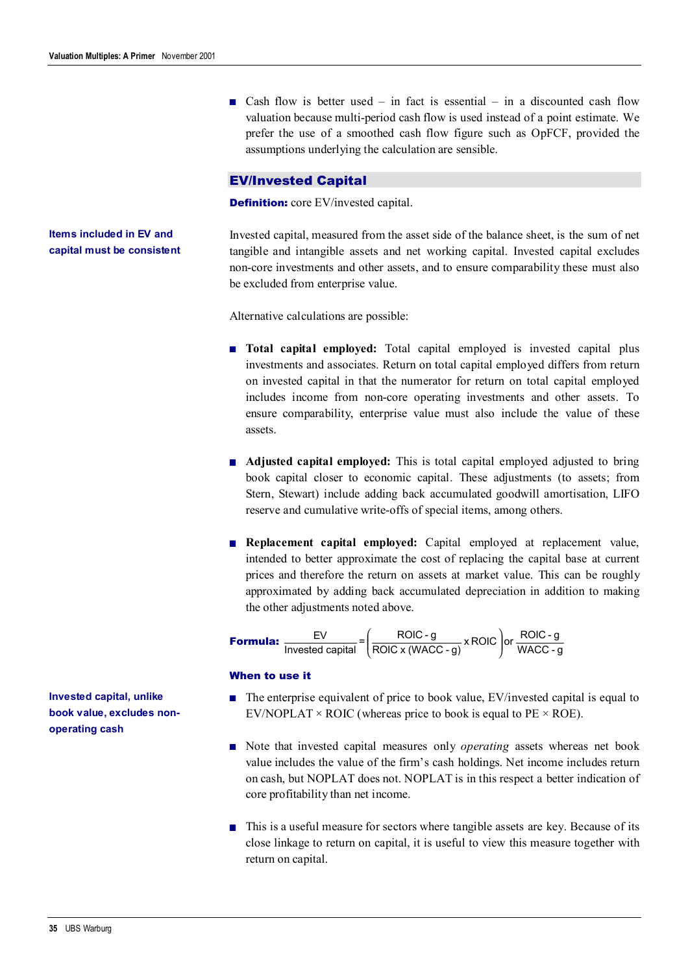**Items included in EV and capital must be consistent**  $\blacksquare$  Cash flow is better used – in fact is essential – in a discounted cash flow valuation because multi-period cash flow is used instead of a point estimate. We prefer the use of a smoothed cash flow figure such as OpFCF, provided the assumptions underlying the calculation are sensible.

### EV/Invested Capital

**Definition:** core EV/invested capital.

Invested capital, measured from the asset side of the balance sheet, is the sum of net tangible and intangible assets and net working capital. Invested capital excludes non-core investments and other assets, and to ensure comparability these must also be excluded from enterprise value.

Alternative calculations are possible:

- **Total capital employed:** Total capital employed is invested capital plus investments and associates. Return on total capital employed differs from return on invested capital in that the numerator for return on total capital employed includes income from non-core operating investments and other assets. To ensure comparability, enterprise value must also include the value of these assets.
- **Adjusted capital employed:** This is total capital employed adjusted to bring book capital closer to economic capital. These adjustments (to assets; from Stern, Stewart) include adding back accumulated goodwill amortisation, LIFO reserve and cumulative write-offs of special items, among others.
- **Replacement capital employed:** Capital employed at replacement value, intended to better approximate the cost of replacing the capital base at current prices and therefore the return on assets at market value. This can be roughly approximated by adding back accumulated depreciation in addition to making the other adjustments noted above.

**Formula:**  $\frac{EV}{\text{Invested capital}} = \left(\frac{\text{ROIC} \cdot g}{\text{ROIC} \times (\text{WACC} \cdot g)} \times \text{ROIC}\right) \text{or } \frac{\text{ROIC} \cdot g}{\text{WACC} \cdot g}$ I  $\overline{)}$  $\left( \begin{array}{c} 1 \end{array} \right)$ I l ſ

### When to use it

- The enterprise equivalent of price to book value, EV/invested capital is equal to EV/NOPLAT  $\times$  ROIC (whereas price to book is equal to PE  $\times$  ROE).
- Note that invested capital measures only *operating* assets whereas net book value includes the value of the firm's cash holdings. Net income includes return on cash, but NOPLAT does not. NOPLAT is in this respect a better indication of core profitability than net income.
- This is a useful measure for sectors where tangible assets are key. Because of its close linkage to return on capital, it is useful to view this measure together with return on capital.

**Invested capital, unlike book value, excludes nonoperating cash**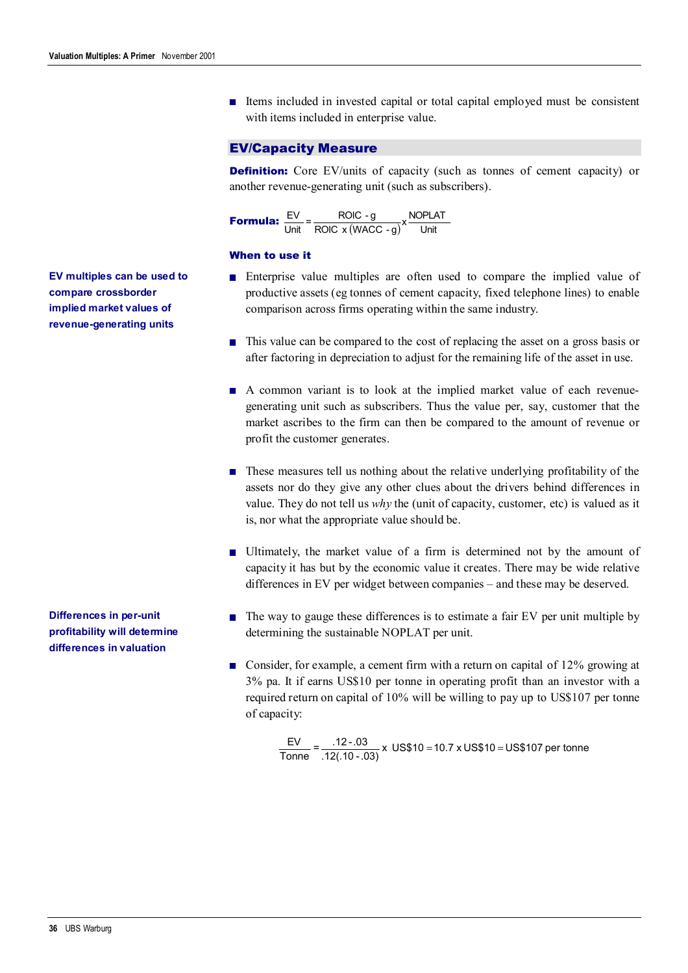■ Items included in invested capital or total capital employed must be consistent with items included in enterprise value.

# EV/Capacity Measure

**Definition:** Core EV/units of capacity (such as tonnes of cement capacity) or another revenue-generating unit (such as subscribers).

**Formula:** 
$$
\frac{EV}{Unit} = \frac{ROIC \cdot g}{ROIC \times (WACC \cdot g)} \times \frac{NOPLAT}{Unit}
$$

#### When to use it

- Enterprise value multiples are often used to compare the implied value of productive assets (eg tonnes of cement capacity, fixed telephone lines) to enable comparison across firms operating within the same industry.
- This value can be compared to the cost of replacing the asset on a gross basis or after factoring in depreciation to adjust for the remaining life of the asset in use.
- A common variant is to look at the implied market value of each revenuegenerating unit such as subscribers. Thus the value per, say, customer that the market ascribes to the firm can then be compared to the amount of revenue or profit the customer generates.
- These measures tell us nothing about the relative underlying profitability of the assets nor do they give any other clues about the drivers behind differences in value. They do not tell us *why* the (unit of capacity, customer, etc) is valued as it is, nor what the appropriate value should be.
- Ultimately, the market value of a firm is determined not by the amount of capacity it has but by the economic value it creates. There may be wide relative differences in EV per widget between companies – and these may be deserved.
- The way to gauge these differences is to estimate a fair EV per unit multiple by determining the sustainable NOPLAT per unit.
- Consider, for example, a cement firm with a return on capital of 12% growing at 3% pa. It if earns US\$10 per tonne in operating profit than an investor with a required return on capital of 10% will be willing to pay up to US\$107 per tonne of capacity:

 $\frac{EV}{Tonne} = \frac{.12 - .03}{.12(.10 - .03)}$  x US\$10 = 10.7 x US\$10 = US\$107 per tonne

**EV multiples can be used to compare crossborder implied market values of revenue-generating units**

**Differences in per-unit profitability will determine differences in valuation**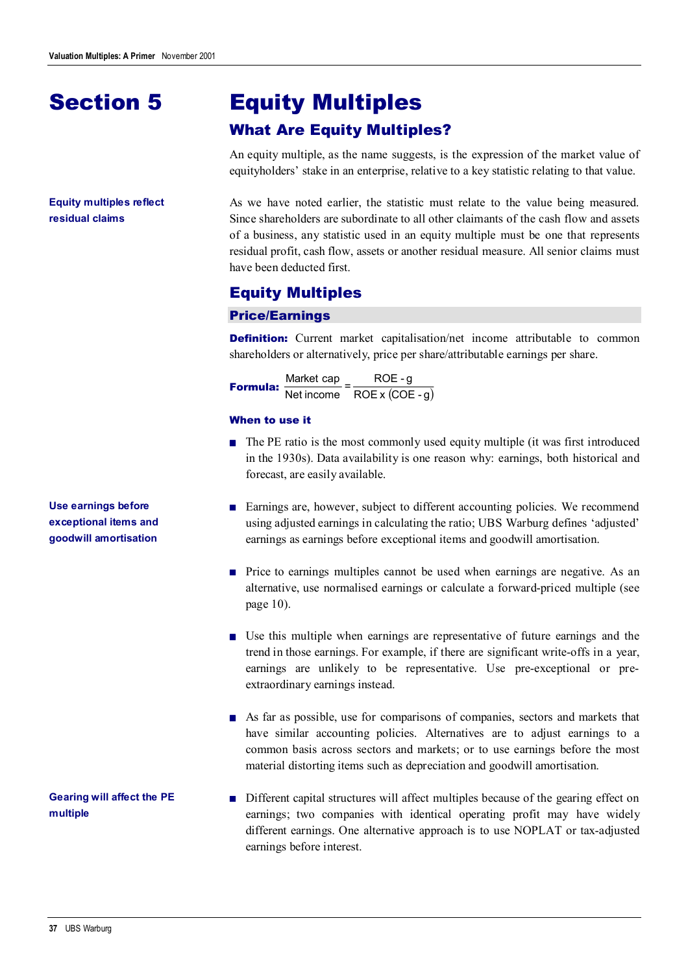# Section 5

# **Equity multiples reflect residual claims**

Equity Multiples

# What Are Equity Multiples?

An equity multiple, as the name suggests, is the expression of the market value of equityholders' stake in an enterprise, relative to a key statistic relating to that value.

As we have noted earlier, the statistic must relate to the value being measured. Since shareholders are subordinate to all other claimants of the cash flow and assets of a business, any statistic used in an equity multiple must be one that represents residual profit, cash flow, assets or another residual measure. All senior claims must have been deducted first.

# Equity Multiples

# Price/Earnings

**Definition:** Current market capitalisation/net income attributable to common shareholders or alternatively, price per share/attributable earnings per share.

**Formula:**  $\frac{\text{Market cap}}{\text{Net income}} = \frac{\text{ROE - g}}{\text{ROE x (COE - g)}}$ 

### When to use it

- The PE ratio is the most commonly used equity multiple (it was first introduced in the 1930s). Data availability is one reason why: earnings, both historical and forecast, are easily available.
- Earnings are, however, subject to different accounting policies. We recommend using adjusted earnings in calculating the ratio; UBS Warburg defines 'adjusted' earnings as earnings before exceptional items and goodwill amortisation.
- Price to earnings multiples cannot be used when earnings are negative. As an alternative, use normalised earnings or calculate a forward-priced multiple (see page 10).
- Use this multiple when earnings are representative of future earnings and the trend in those earnings. For example, if there are significant write-offs in a year, earnings are unlikely to be representative. Use pre-exceptional or preextraordinary earnings instead.
- As far as possible, use for comparisons of companies, sectors and markets that have similar accounting policies. Alternatives are to adjust earnings to a common basis across sectors and markets; or to use earnings before the most material distorting items such as depreciation and goodwill amortisation.
- Different capital structures will affect multiples because of the gearing effect on earnings; two companies with identical operating profit may have widely different earnings. One alternative approach is to use NOPLAT or tax-adjusted earnings before interest.

**Use earnings before exceptional items and goodwill amortisation**

**Gearing will affect the PE multiple**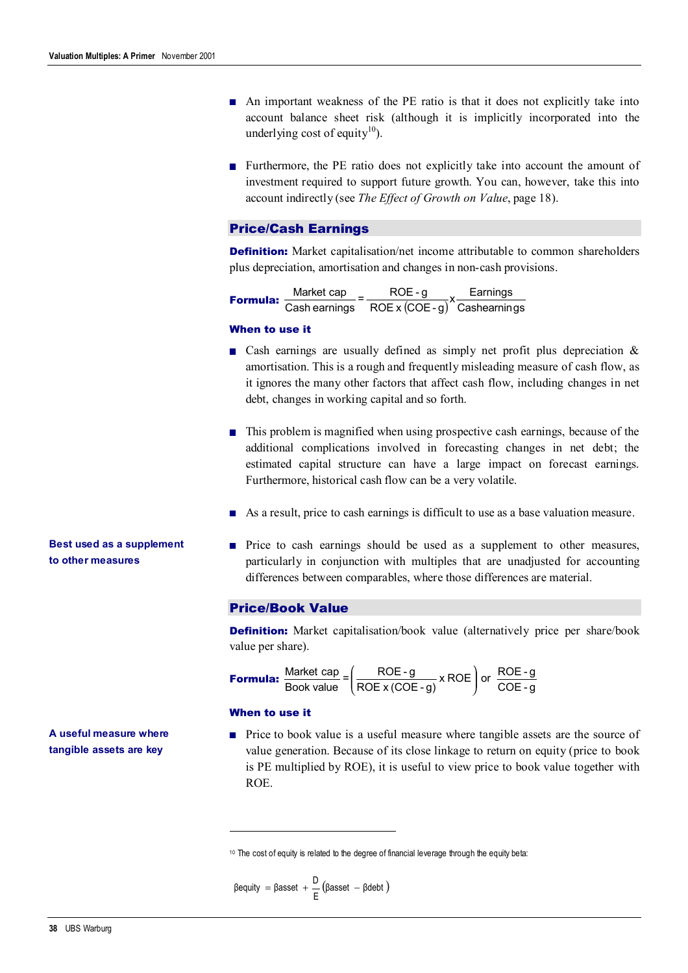- An important weakness of the PE ratio is that it does not explicitly take into account balance sheet risk (although it is implicitly incorporated into the underlying cost of equity<sup>10</sup>).
- Furthermore, the PE ratio does not explicitly take into account the amount of investment required to support future growth. You can, however, take this into account indirectly (see *The Effect of Growth on Value*, page 18).

## Price/Cash Earnings

**Definition:** Market capitalisation/net income attributable to common shareholders plus depreciation, amortisation and changes in non-cash provisions.

**Formula:**  $\frac{\text{Market cap}}{\text{Cash earnings}} = \frac{\text{ROE} \cdot g}{\text{ROE} \times (\text{COE} \cdot g)} \times \frac{\text{Earnings}}{\text{Cash earnings}}$ 

#### When to use it

- **•** Cash earnings are usually defined as simply net profit plus depreciation  $\&$ amortisation. This is a rough and frequently misleading measure of cash flow, as it ignores the many other factors that affect cash flow, including changes in net debt, changes in working capital and so forth.
- This problem is magnified when using prospective cash earnings, because of the additional complications involved in forecasting changes in net debt; the estimated capital structure can have a large impact on forecast earnings. Furthermore, historical cash flow can be a very volatile.
- As a result, price to cash earnings is difficult to use as a base valuation measure.
- Price to cash earnings should be used as a supplement to other measures, particularly in conjunction with multiples that are unadjusted for accounting differences between comparables, where those differences are material.

# Price/Book Value

**Definition:** Market capitalisation/book value (alternatively price per share/book value per share).

**Formula:**  $\frac{\text{Market cap}}{\text{Book value}} = \left(\frac{\text{ROE - g}}{\text{ROE x (COE - g)}} \times \text{ROE}\right) \text{ or } \frac{\text{ROE - g}}{\text{COE - g}}$  $\overline{1}$ ľ I l ſ

#### When to use it

 $\overline{a}$ 

■ Price to book value is a useful measure where tangible assets are the source of value generation. Because of its close linkage to return on equity (price to book is PE multiplied by ROE), it is useful to view price to book value together with ROE.

<sup>10</sup> The cost of equity is related to the degree of financial leverage through the equity beta:

$$
\beta \text{equiv} \ y = \beta \text{asset} + \frac{D}{E} (\beta \text{asset} - \beta \text{debt})
$$

**A useful measure where tangible assets are key**

**Best used as a supplement**

**to other measures**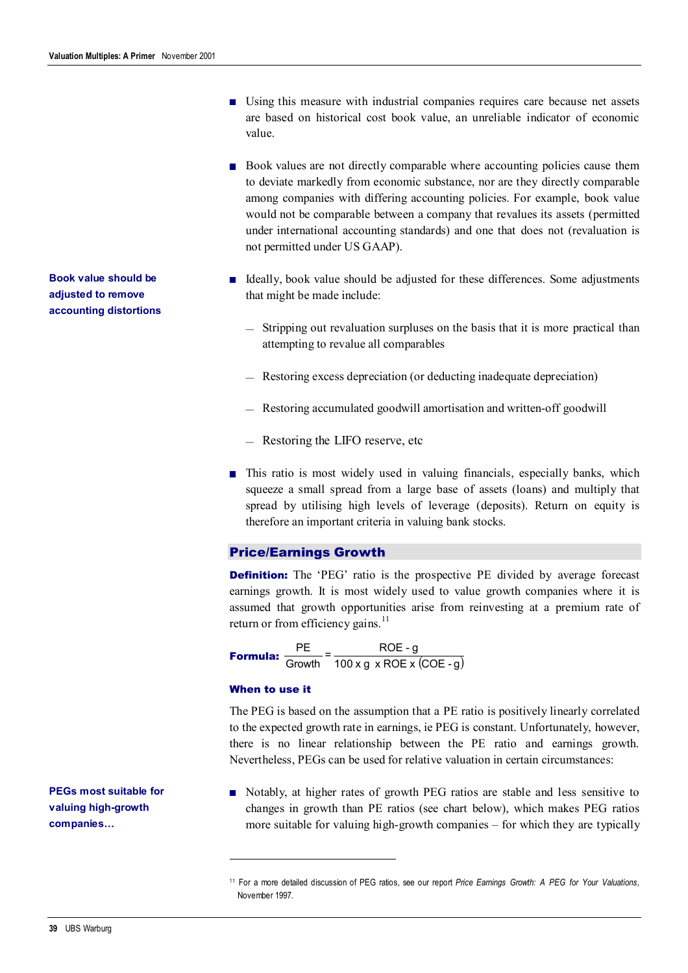■ Using this measure with industrial companies requires care because net assets are based on historical cost book value, an unreliable indicator of economic value.

- Book values are not directly comparable where accounting policies cause them to deviate markedly from economic substance, nor are they directly comparable among companies with differing accounting policies. For example, book value would not be comparable between a company that revalues its assets (permitted under international accounting standards) and one that does not (revaluation is not permitted under US GAAP).
- Ideally, book value should be adjusted for these differences. Some adjustments that might be made include:
	- **—** Stripping out revaluation surpluses on the basis that it is more practical than attempting to revalue all comparables
	- **—** Restoring excess depreciation (or deducting inadequate depreciation)
	- **—** Restoring accumulated goodwill amortisation and written-off goodwill
	- **—** Restoring the LIFO reserve, etc
- This ratio is most widely used in valuing financials, especially banks, which squeeze a small spread from a large base of assets (loans) and multiply that spread by utilising high levels of leverage (deposits). Return on equity is therefore an important criteria in valuing bank stocks.

# Price/Earnings Growth

**Definition:** The 'PEG' ratio is the prospective PE divided by average forecast earnings growth. It is most widely used to value growth companies where it is assumed that growth opportunities arise from reinvesting at a premium rate of return or from efficiency gains.<sup>11</sup>

**Formula:**  $\frac{PE}{Growth} = \frac{ROE - g}{100 \times g \times ROE \times (COE - g)}$ 

## When to use it

 $\overline{a}$ 

The PEG is based on the assumption that a PE ratio is positively linearly correlated to the expected growth rate in earnings, ie PEG is constant. Unfortunately, however, there is no linear relationship between the PE ratio and earnings growth. Nevertheless, PEGs can be used for relative valuation in certain circumstances:

■ Notably, at higher rates of growth PEG ratios are stable and less sensitive to changes in growth than PE ratios (see chart below), which makes PEG ratios more suitable for valuing high-growth companies – for which they are typically

**Book value should be adjusted to remove accounting distortions**

**PEGs most suitable for valuing high-growth companies…**

<sup>11</sup> For a more detailed discussion of PEG ratios, see our report *Price Earnings Growth: A PEG for Your Valuations*, November 1997.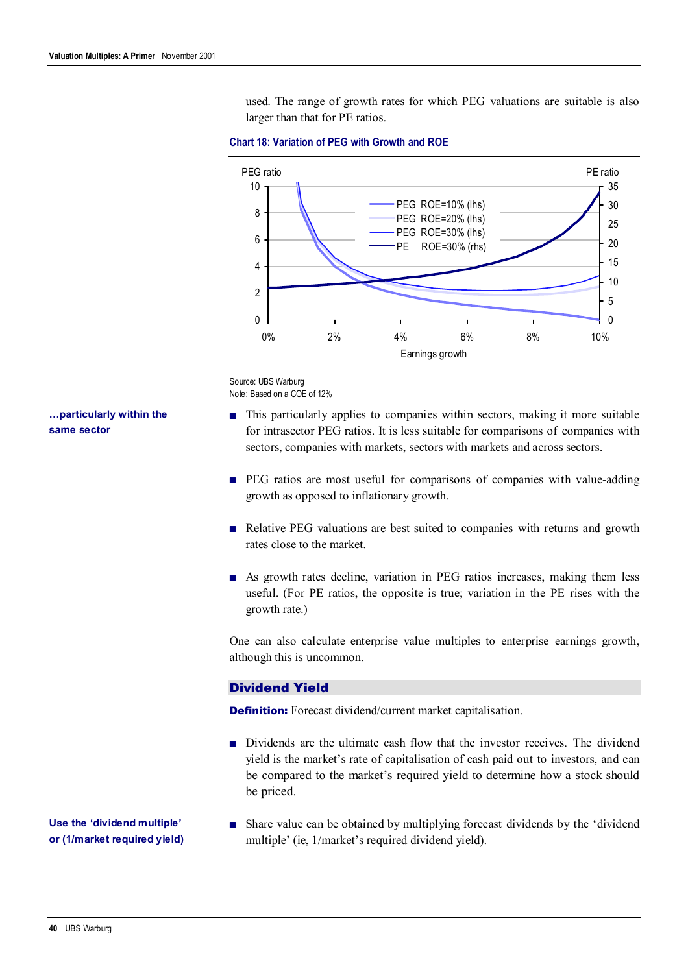used. The range of growth rates for which PEG valuations are suitable is also larger than that for PE ratios.



#### **Chart 18: Variation of PEG with Growth and ROE**

Source: UBS Warburg Note: Based on a COE of 12%

- This particularly applies to companies within sectors, making it more suitable for intrasector PEG ratios. It is less suitable for comparisons of companies with sectors, companies with markets, sectors with markets and across sectors.
- PEG ratios are most useful for comparisons of companies with value-adding growth as opposed to inflationary growth.
- Relative PEG valuations are best suited to companies with returns and growth rates close to the market.
- As growth rates decline, variation in PEG ratios increases, making them less useful. (For PE ratios, the opposite is true; variation in the PE rises with the growth rate.)

One can also calculate enterprise value multiples to enterprise earnings growth, although this is uncommon.

# Dividend Yield

**Definition:** Forecast dividend/current market capitalisation.

- Dividends are the ultimate cash flow that the investor receives. The dividend yield is the market's rate of capitalisation of cash paid out to investors, and can be compared to the market's required yield to determine how a stock should be priced.
- Share value can be obtained by multiplying forecast dividends by the 'dividend multiple' (ie, 1/market's required dividend yield).

**…particularly within the same sector**

**Use the 'dividend multiple' or (1/market required yield)**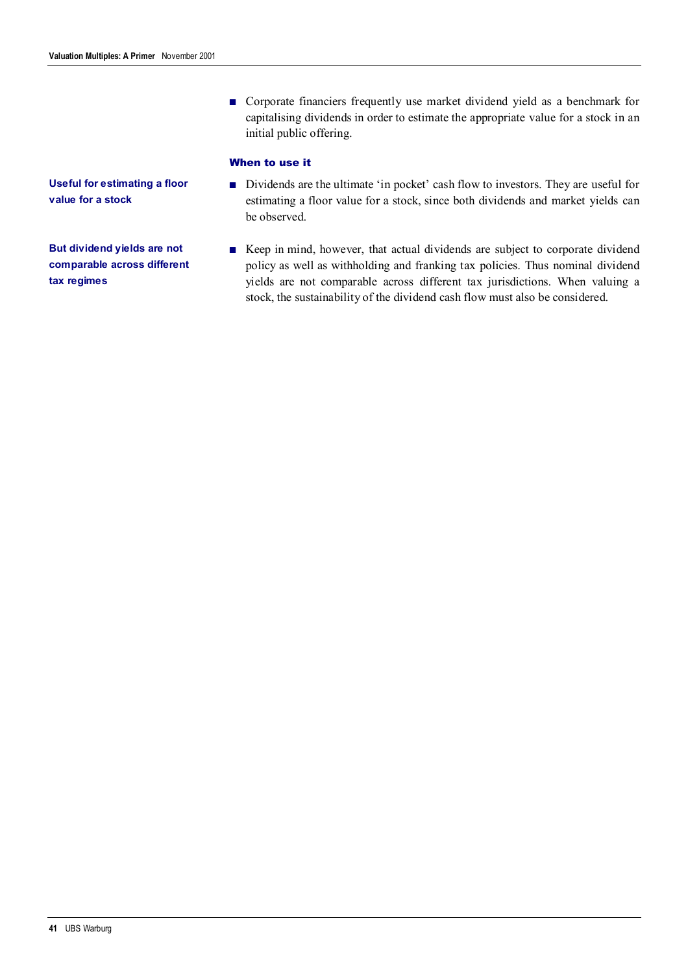■ Corporate financiers frequently use market dividend yield as a benchmark for capitalising dividends in order to estimate the appropriate value for a stock in an initial public offering.

### When to use it

- Dividends are the ultimate 'in pocket' cash flow to investors. They are useful for estimating a floor value for a stock, since both dividends and market yields can be observed.
- Keep in mind, however, that actual dividends are subject to corporate dividend policy as well as withholding and franking tax policies. Thus nominal dividend yields are not comparable across different tax jurisdictions. When valuing a stock, the sustainability of the dividend cash flow must also be considered.

**Useful for estimating a floor value for a stock**

**But dividend yields are not comparable across different tax regimes**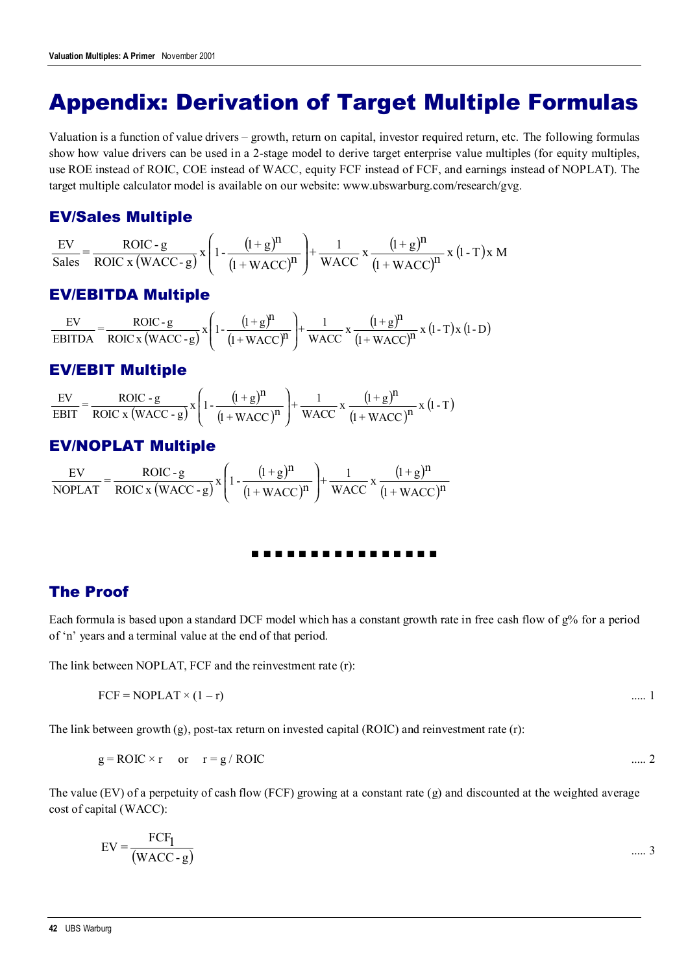# Appendix: Derivation of Target Multiple Formulas

Valuation is a function of value drivers – growth, return on capital, investor required return, etc. The following formulas show how value drivers can be used in a 2-stage model to derive target enterprise value multiples (for equity multiples, use ROE instead of ROIC, COE instead of WACC, equity FCF instead of FCF, and earnings instead of NOPLAT). The target multiple calculator model is available on our website: www.ubswarburg.com/research/gvg.

# EV/Sales Multiple

$$
\frac{EV}{Sales} = \frac{ROIC \cdot g}{ROIC \times (WACC \cdot g)} \times \left(1 - \frac{(1+g)^n}{(1+WACC)^n}\right) + \frac{1}{WACC} \times \frac{(1+g)^n}{(1+WACC)^n} \times (1-T) \times M
$$

# EV/EBITDA Multiple

$$
\frac{EV}{EBITDA} = \frac{ROIC \cdot g}{ROIC \cdot x (WACC \cdot g)} \cdot x \left(1 - \frac{(1+g)^n}{(1+WACC)^n}\right) + \frac{1}{WACC} \cdot x \cdot \frac{(1+g)^n}{(1+WACC)^n} \cdot x \cdot (1-T) \cdot x \cdot (1-D)
$$

# EV/EBIT Multiple

$$
\frac{EV}{EBIT} = \frac{ROIC \cdot g}{ROIC \times (WACC \cdot g)} \times \left(1 - \frac{(1+g)^n}{(1+WACC)^n}\right) + \frac{1}{WACC} \times \frac{(1+g)^n}{(1+WACC)^n} \times (1-T)
$$

# EV/NOPLAT Multiple

$$
\frac{EV}{NOPLAT} = \frac{ROIC \cdot g}{ROIC \times (WACC \cdot g)} \times \left(1 - \frac{(1+g)^n}{(1+WACC)^n}\right) + \frac{1}{WACC} \times \frac{(1+g)^n}{(1+WACC)^n}
$$

# **■ ■ ■ ■ ■ ■ ■ ■ ■ ■ ■ ■ ■ ■ ■ ■**

# The Proof

Each formula is based upon a standard DCF model which has a constant growth rate in free cash flow of g% for a period of 'n' years and a terminal value at the end of that period.

The link between NOPLAT, FCF and the reinvestment rate (r):

$$
FCF = NOPLAT \times (1-r) \qquad \qquad \dots \quad 1
$$

The link between growth (g), post-tax return on invested capital (ROIC) and reinvestment rate (r):

$$
g = \text{ROIC} \times r
$$
 or  $r = g / \text{ROIC}$  ..... 2

The value (EV) of a perpetuity of cash flow (FCF) growing at a constant rate (g) and discounted at the weighted average cost of capital (WACC):

$$
EV = \frac{FCF_1}{(WACC - g)}
$$
 ...... 3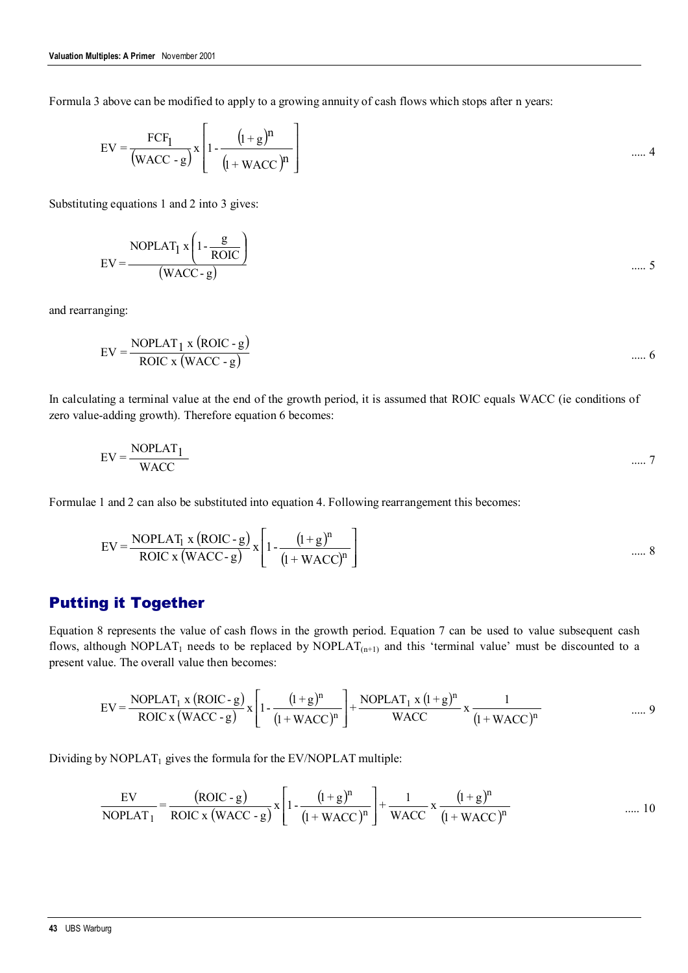Formula 3 above can be modified to apply to a growing annuity of cash flows which stops after n years:

$$
EV = \frac{FCF_1}{(WACC - g)} x \left[ 1 - \frac{(1+g)^n}{(1+WACC)^n} \right]
$$
 ...... 4

Substituting equations 1 and 2 into 3 gives:

$$
EV = \frac{NOPLAT_1 x \left(1 - \frac{g}{ROIC}\right)}{(WACC - g)}
$$
 ...... 5

and rearranging:

$$
EV = \frac{NOPLAT_1 \times (ROIC - g)}{ROIC \times (WACC - g)}
$$
 ...... 6

In calculating a terminal value at the end of the growth period, it is assumed that ROIC equals WACC (ie conditions of zero value-adding growth). Therefore equation 6 becomes:

$$
EV = \frac{NOPLAT_1}{WACC}
$$
 ...... 7

Formulae 1 and 2 can also be substituted into equation 4. Following rearrangement this becomes:

$$
EV = \frac{NOPLAT_1 x (ROIC - g)}{ROIC x (WACC - g)} x \left[ 1 - \frac{(1 + g)^n}{(1 + WACC)^n} \right]
$$
 ...... 8

# Putting it Together

Equation 8 represents the value of cash flows in the growth period. Equation 7 can be used to value subsequent cash flows, although NOPLAT<sub>1</sub> needs to be replaced by NOPLAT<sub>(n+1)</sub> and this 'terminal value' must be discounted to a present value. The overall value then becomes:

$$
EV = \frac{NOPLAT_1 x (ROIC - g)}{ROIC x (WACC - g)} x \left[ 1 - \frac{(1+g)^n}{(1+WACC)^n} \right] + \frac{NOPLAT_1 x (1+g)^n}{WACC} x \frac{1}{(1+WACC)^n} \quad \dots \quad 9
$$

Dividing by  $NOPLAT_1$  gives the formula for the EV/NOPLAT multiple:

$$
\frac{EV}{NOPLAT_1} = \frac{(ROIC \cdot g)}{ROIC \times (WACC \cdot g)} \times \left[1 - \frac{(1+g)^n}{(1+WACC)^n}\right] + \frac{1}{WACC} \times \frac{(1+g)^n}{(1+WACC)^n} \quad \dots \quad 10
$$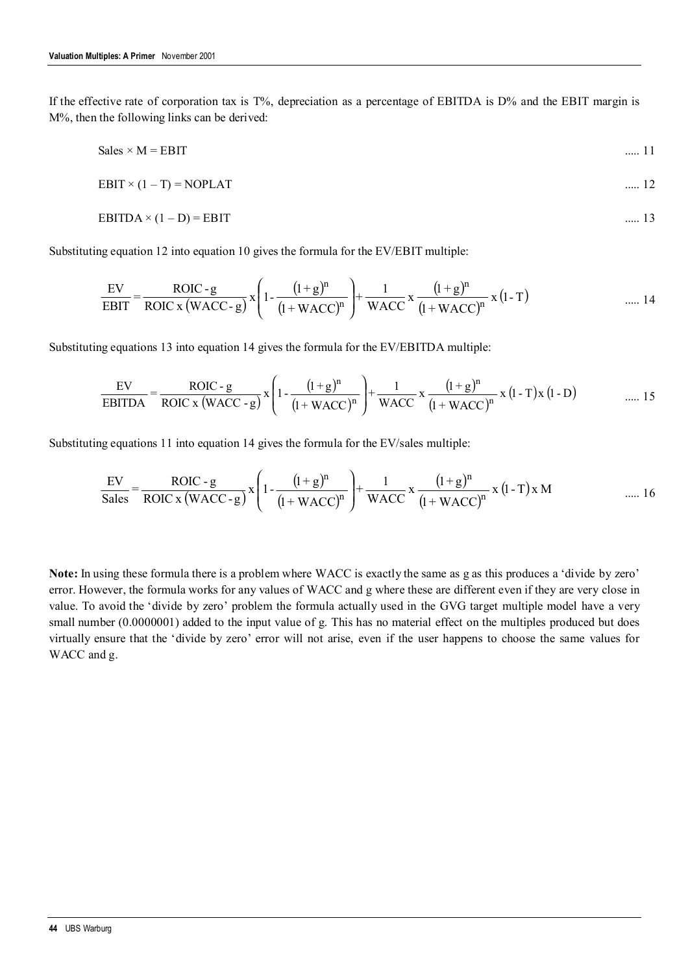If the effective rate of corporation tax is T%, depreciation as a percentage of EBITDA is D% and the EBIT margin is M%, then the following links can be derived:

$$
\text{Sales} \times \text{M} = \text{EBIT} \tag{1}
$$
\n
$$
\text{EBIT} \times (1 - \text{T}) = \text{NOPLAT} \tag{2}
$$

$$
EBITDA \times (1 - D) = EBIT
$$
 ...... 13

Substituting equation 12 into equation 10 gives the formula for the EV/EBIT multiple:

$$
\frac{EV}{EBIT} = \frac{ROIC \cdot g}{ROIC \times (WACC \cdot g)} \times \left(1 - \frac{(1+g)^n}{(1+WACC)^n}\right) + \frac{1}{WACC} \times \frac{(1+g)^n}{(1+WACC)^n} \times (1-T) \quad \dots \quad 14
$$

Substituting equations 13 into equation 14 gives the formula for the EV/EBITDA multiple:

$$
\frac{EV}{EBITDA} = \frac{ROIC \cdot g}{ROIC \times (WACC \cdot g)} \times \left(1 - \frac{(1+g)^n}{(1+WACC)^n}\right) + \frac{1}{WACC} \times \frac{(1+g)^n}{(1+WACC)^n} \times (1-T) \times (1-D) \quad \dots \quad 15
$$

Substituting equations 11 into equation 14 gives the formula for the EV/sales multiple:

$$
\frac{EV}{Sales} = \frac{ROIC \cdot g}{ROIC \times (WACC \cdot g)} \times \left(1 - \frac{(1+g)^n}{(1+WACC)^n}\right) + \frac{1}{WACC} \times \frac{(1+g)^n}{(1+WACC)^n} \times (1-T) \times M \qquad \qquad \dots \quad 16
$$

**Note:** In using these formula there is a problem where WACC is exactly the same as g as this produces a 'divide by zero' error. However, the formula works for any values of WACC and g where these are different even if they are very close in value. To avoid the 'divide by zero' problem the formula actually used in the GVG target multiple model have a very small number (0.0000001) added to the input value of g. This has no material effect on the multiples produced but does virtually ensure that the 'divide by zero' error will not arise, even if the user happens to choose the same values for WACC and g.